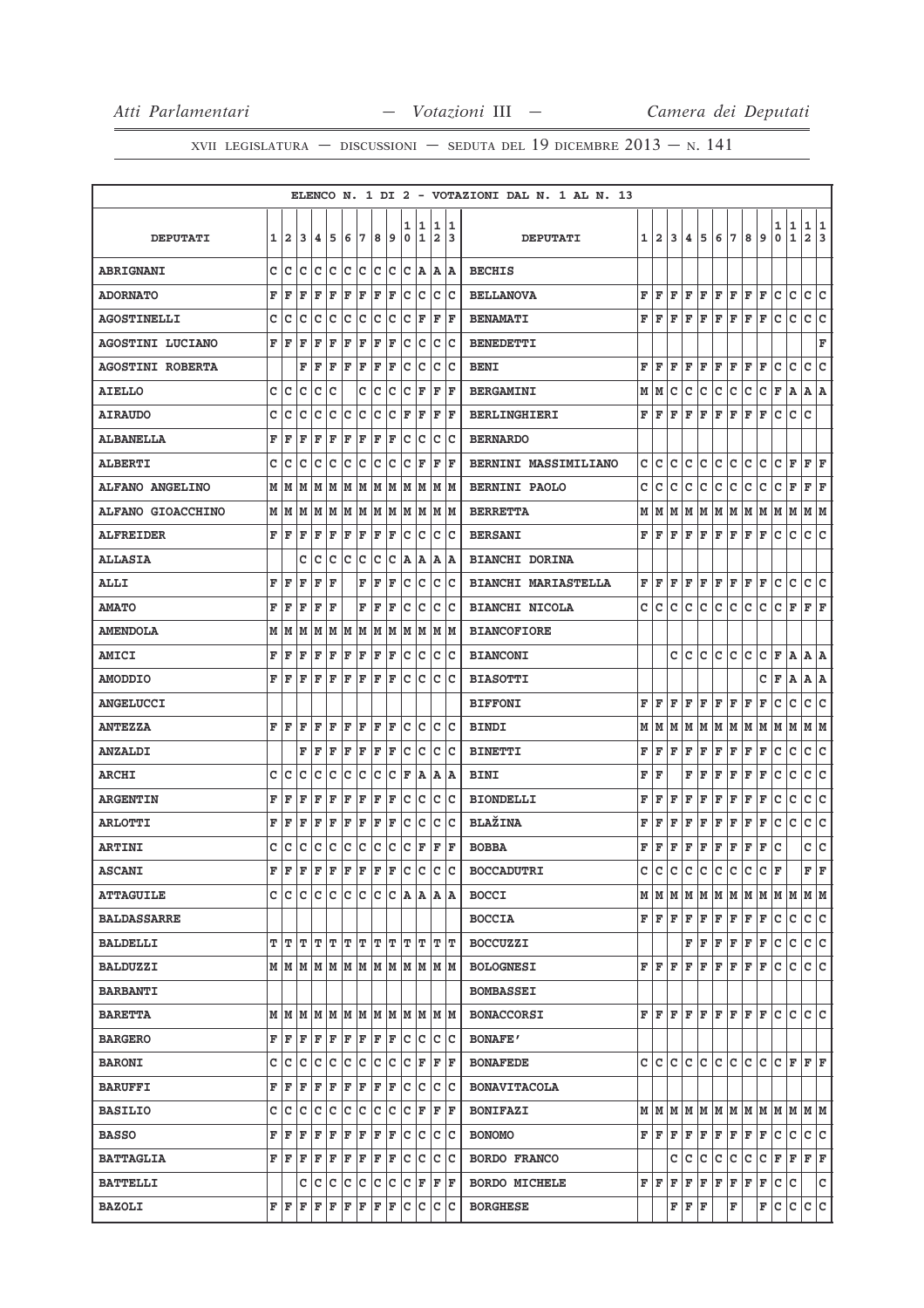|                          |   |                |           |    |             |     |     |     |    |        |                   |                              |        | ELENCO N. 1 DI 2 - VOTAZIONI DAL N. 1 AL N. 13 |   |              |   |                         |   |     |         |     |   |                                                                       |                   |                     |        |
|--------------------------|---|----------------|-----------|----|-------------|-----|-----|-----|----|--------|-------------------|------------------------------|--------|------------------------------------------------|---|--------------|---|-------------------------|---|-----|---------|-----|---|-----------------------------------------------------------------------|-------------------|---------------------|--------|
| <b>DEPUTATI</b>          | 1 | $\overline{a}$ | 3         | 4  | 5           | 6   | 7   | 8   | 9  | 1<br>0 | 1<br>1            | 1<br>$\overline{\mathbf{2}}$ | 1<br>3 | <b>DEPUTATI</b>                                | 1 | $\mathbf{2}$ | 3 | 4                       | 5 | 6   | 7       | 8   | 9 | 1<br>0                                                                | 1<br>$\mathbf{1}$ | 1<br>$\overline{a}$ | 1<br>3 |
| <b>ABRIGNANI</b>         | c | с              | c         | c  | c           | c   | c   | c   | с  | c      | A                 | Α                            | ΙA     | <b>BECHIS</b>                                  |   |              |   |                         |   |     |         |     |   |                                                                       |                   |                     |        |
| <b>ADORNATO</b>          | F | F              | F         | F  | F           | F   | F   | F   | F  | c      | c                 | с                            | Ιc     | <b>BELLANOVA</b>                               | F | F            | F | F                       | F | F   | F       | F   | F | с                                                                     | с                 | c                   | с      |
| <b>AGOSTINELLI</b>       | c | с              | с         | с  | с           | с   | с   | C   | c  | c      | F                 | F                            | F      | <b>BENAMATI</b>                                | F | F            | F | F                       | F | F   | F       | F   | F | c                                                                     | c                 | c                   | c      |
| <b>AGOSTINI LUCIANO</b>  | F | F              | F         | F  | F           | F   | F   | F   | F  | c      | c                 | c                            | Ιc     | <b>BENEDETTI</b>                               |   |              |   |                         |   |     |         |     |   |                                                                       |                   |                     | F      |
| <b>AGOSTINI ROBERTA</b>  |   |                | F         | F  | F           | F   | F   | F   | F  | c      | c                 | c                            | Ιc     | <b>BENI</b>                                    | F | F            | F | F                       | F | F   | F       | F   | F | с                                                                     | с                 | c                   | c      |
| <b>AIELLO</b>            | с | Iс             | с         | с  | c           |     | с   | c   | c  | c      | F                 | F                            | F      | <b>BERGAMINI</b>                               | М | М            | c | с                       | c | с   | c       | с   | с | F                                                                     | A                 | A A                 |        |
| <b>AIRAUDO</b>           | c | c              | c         | с  | с           | с   | с   | с   | c  | F      | F                 | F                            | F      | <b>BERLINGHIERI</b>                            | F | F            | F | F                       | F | F   | F       | F   | F | c                                                                     | с                 | с                   |        |
| <b>ALBANELLA</b>         | F | F              | F         | F  | F           | F   | F   | F   | F  | c      | lc.               | c                            | Ιc     | <b>BERNARDO</b>                                |   |              |   |                         |   |     |         |     |   |                                                                       |                   |                     |        |
| <b>ALBERTI</b>           | c | с              | с         | с  | с           | с   | с   | с   | c  | c      | F                 | F                            | F      | <b>BERNINI MASSIMILIANO</b>                    | c | с            | c | с                       | с | с   | с       | с   | с | с                                                                     | $\mathbf{F}$      | F                   | F      |
| <b>ALFANO ANGELINO</b>   | М | M              | M         | M  | M           | M   | M   | MM  |    |        | MM                | M M                          |        | <b>BERNINI PAOLO</b>                           | с | c            | с | с                       | с | с   | с       | с   | с | с                                                                     | F                 | F                   | F      |
| <b>ALFANO GIOACCHINO</b> | М | M              | M         | M  | M           | M   | M   | M   | M  |        |                   | M M M M                      |        | <b>BERRETTA</b>                                | М | M            | M | M                       | M | M   | M       | M   | M | M                                                                     | M                 | MM                  |        |
| <b>ALFREIDER</b>         | F | F              | F         | F  | F           | F   | F   | F   | F  | c      | Iс                | c                            | Ιc     | <b>BERSANI</b>                                 | F | F            | F | F                       | F | F   | F       | F   | F | c                                                                     | с                 | c                   | Ιc     |
| <b>ALLASIA</b>           |   |                | с         | с  | с           | c   | с   | c   | c  | A      | A                 | Α                            | ١A     | <b>BIANCHI DORINA</b>                          |   |              |   |                         |   |     |         |     |   |                                                                       |                   |                     |        |
| <b>ALLI</b>              | F | F              | F         | F  | F           |     | F   | F   | F  | c      | c                 | c                            | Ιc     | <b>BIANCHI MARIASTELLA</b>                     | F | F            | F | F                       | F | ΙF  | F       | F   | F | c                                                                     | c                 | с                   | IС     |
| <b>AMATO</b>             | F | F              | F         | F  | F           |     | F   | F   | F  | c      | Iс                | c                            | Ιc     | <b>BIANCHI NICOLA</b>                          | с | c            | с | с                       | с | с   | с       | с   | с | с                                                                     | F                 | F F                 |        |
| <b>AMENDOLA</b>          | М | M              | M         | M  | M           | M   | М   | M   | M  | M      | M                 | M                            | lм     | <b>BIANCOFIORE</b>                             |   |              |   |                         |   |     |         |     |   |                                                                       |                   |                     |        |
| AMICI                    | F | F              | F         | F  | F           | F   | F   | F   | F  | c      | Ιc                | c                            | Ιc     | <b>BIANCONI</b>                                |   |              | c | с                       | с | с   | c       | С   | с | F                                                                     | A                 | $A$ $A$             |        |
| <b>AMODDIO</b>           | F | F              | F         | F  | F           | F   | F   | F   | F  | c      | c                 | c                            | Ιc     | <b>BIASOTTI</b>                                |   |              |   |                         |   |     |         |     | с | F                                                                     | Α                 | A   A               |        |
| <b>ANGELUCCI</b>         |   |                |           |    |             |     |     |     |    |        |                   |                              |        | <b>BIFFONI</b>                                 | F | F            | F | F                       | F | F   | F       | F   | F | c                                                                     | с                 | c                   | с      |
| <b>ANTEZZA</b>           | F | F              | F         | F  | F           | F   | F   | F   | F  | c      | lc.               | c                            | Ιc     | <b>BINDI</b>                                   | М | м            | M | M                       |   |     |         |     |   | M  M  M  M  M  M  M                                                   |                   | M  M                |        |
| <b>ANZALDI</b>           |   |                | F         | F  | F           | F   | F   | F   | F  | c      | c                 | c                            | Ιc     | <b>BINETTI</b>                                 | F | F            | F | $\overline{\mathbf{F}}$ | F | F   | F       | F   | F | с                                                                     | с                 | с                   | Iс     |
| <b>ARCHI</b>             | с | Iс             | c         | с  | с           | c   | с   | c   | c  | F      | A                 | Α                            | A      | <b>BINI</b>                                    | F | F            |   | F                       | F | F   | F       | F   | F | с                                                                     | с                 | c                   | c      |
| <b>ARGENTIN</b>          | F | F              | F         | F  | F           | F   | F   | F   | F  | c      | c                 | c                            | Ιc     | <b>BIONDELLI</b>                               | F | F            | F | F                       | F | F   | F       | F   | F | с                                                                     | с                 | с                   | c      |
| <b>ARLOTTI</b>           | F | F              | F         | F  | F           | F   | F   | F   | F  | c      | c                 | c                            | Ιc     | <b>BLAŽINA</b>                                 | F | F            | F | F                       | F | F   | F       | F   | F | с                                                                     | c                 | c                   | ∣c     |
| <b>ARTINI</b>            | c | с              | с         | с  | с           | c   | с   | c   | c  | c      | F                 | F                            | F      | <b>BOBBA</b>                                   | F | F            | F | F                       | F | F   | F       | F   | F | с                                                                     |                   | c                   | ∣c     |
| <b>ASCANI</b>            | F | F              | F         | F  | F           | F   | F   | F   | F  | c      | c                 | c                            | lc.    | <b>BOCCADUTRI</b>                              | c | c            | c | c                       | c | c   | c       | с   | с | F                                                                     |                   | F                   | ΙF     |
| <b>ATTAGUILE</b>         | c | C              | с         | c. |             |     |     |     |    |        |                   |                              |        | <b>BOCCI</b>                                   |   |              |   |                         |   |     |         |     |   | $M$   $M$   $M$   $M$   $M$   $M$   $M$   $M$   $M$   $M$   $M$   $M$ |                   |                     |        |
| <b>BALDASSARRE</b>       |   |                |           |    |             |     |     |     |    |        |                   |                              |        | <b>BOCCIA</b>                                  |   | F F          | F | F                       | F | F F |         | F F |   | lc.                                                                   | с                 | C C                 |        |
| <b>BALDELLI</b>          | т | T              | ΙT        | т  | ľТ          |     | TТ  |     | TТ |        | $T$ $T$           | $T$ $T$                      |        | <b>BOCCUZZI</b>                                |   |              |   | F                       | F | F F |         | F F |   | с                                                                     | c                 | c c                 |        |
| <b>BALDUZZI</b>          |   |                |           |    |             |     |     |     |    |        |                   | м м м м м м м м м м м м      |        | <b>BOLOGNESI</b>                               |   | FF           | F | F                       | F | F   | F       | F   | F | c                                                                     | c                 | c c                 |        |
| <b>BARBANTI</b>          |   |                |           |    |             |     |     |     |    |        |                   |                              |        | <b>BOMBASSEI</b>                               |   |              |   |                         |   |     |         |     |   |                                                                       |                   |                     |        |
| <b>BARETTA</b>           |   |                | M   M   M |    |             |     |     |     |    |        |                   | IM IM IM IM IM IM IM IM IM   |        | <b>BONACCORSI</b>                              | F | F            | F | F                       | F |     | F F F F |     |   | lc.                                                                   | lc.               | lc lc               |        |
| <b>BARGERO</b>           | F | F              | F         | F  | F           |     | F F | F F |    | lc.    | Iс                | C                            | ΙC     | <b>BONAFE'</b>                                 |   |              |   |                         |   |     |         |     |   |                                                                       |                   |                     |        |
| <b>BARONI</b>            | c | с              | c         | с  | c           | c   | c   | c   | c  | lc.    | F                 | F                            | F      | <b>BONAFEDE</b>                                |   | c c c        |   |                         |   |     |         |     |   | c c c c c c c F F F                                                   |                   |                     |        |
| <b>BARUFFI</b>           | F | F              | F         | F  | F           | F   | F   | F   | F  | Iс     | lc.               | c                            | lc.    | <b>BONAVITACOLA</b>                            |   |              |   |                         |   |     |         |     |   |                                                                       |                   |                     |        |
| <b>BASILIO</b>           | с | с              | с         | с  | c           | c   | c   | c   | c  | c      | F                 | $ {\bf F}  {\bf F} $         |        | <b>BONIFAZI</b>                                |   |              |   |                         |   |     |         |     |   | $M$   $M$   $M$   $M$   $M$   $M$   $M$   $M$   $M$   $M$   $M$   $M$ |                   |                     |        |
| <b>BASSO</b>             | F | F              | F         | F  | $\mathbf F$ | F   | F   | F   | F  | Iс     | lc.               | c                            | Iс     | <b>BONOMO</b>                                  |   | F F          | F | F                       | F | F F |         | F   | F | c                                                                     | c                 | c c                 |        |
| <b>BATTAGLIA</b>         | F | F              | F         | F  | F           | F F |     | F F |    | lc.    | lc.               | c                            | Iс     | <b>BORDO FRANCO</b>                            |   |              | c | c                       | c | c   | c       | c.  |   | C F F                                                                 |                   | F F                 |        |
| <b>BATTELLI</b>          |   |                | c         | Iс | c           | с   | c   | c.  | c  |        | $ {\tt C} \;  $ F | F F                          |        | <b>BORDO MICHELE</b>                           |   | FF           | F | $\mathbf F$             | F | F   | F       | F   | F | c                                                                     | c                 |                     | c      |
| <b>BAZOLI</b>            | F | F              | F         | F  | F           | F   | F   | F   | F  | c      | Iс                | c                            | Ιc     | <b>BORGHESE</b>                                |   |              | F | F                       | F |     | F       |     | F | c                                                                     | c                 | c                   | c      |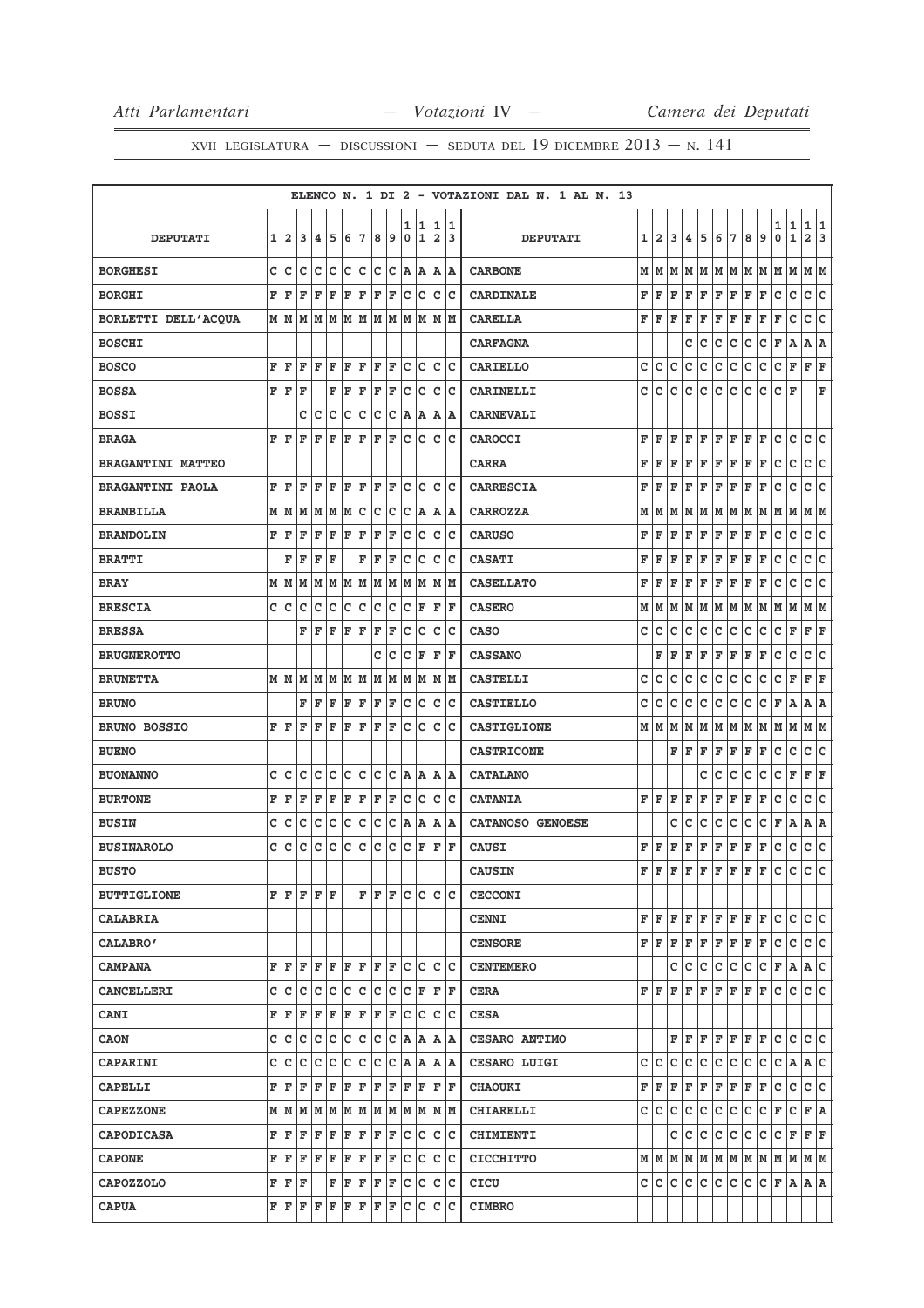|                          |   |                |   |             |             |     |     |     |     |        |                      |                              |        | ELENCO N. 1 DI 2 - VOTAZIONI DAL N. 1 AL N. 13 |   |                                                        |    |             |   |              |                                              |         |      |        |                   |                              |        |
|--------------------------|---|----------------|---|-------------|-------------|-----|-----|-----|-----|--------|----------------------|------------------------------|--------|------------------------------------------------|---|--------------------------------------------------------|----|-------------|---|--------------|----------------------------------------------|---------|------|--------|-------------------|------------------------------|--------|
| <b>DEPUTATI</b>          | 1 | $\overline{a}$ | 3 | 4           | 5           | 6   | 7   | 8   | 9   | 1<br>0 | 1<br>1               | 1<br>$\overline{\mathbf{2}}$ | 1<br>3 | <b>DEPUTATI</b>                                | 1 | 2                                                      | 3  | 4           | 5 | 6            | 7                                            | 8       | 9    | 1<br>0 | 1<br>$\mathbf{1}$ | 1<br>$\overline{\mathbf{2}}$ | 1<br>3 |
| <b>BORGHESI</b>          | c | с              | с | c           | c           | c   | с   | c   | с   | A      | A                    | Α                            | ١A     | <b>CARBONE</b>                                 | м | M                                                      | lМ | M           | M |              | M M                                          |         | M  M | M      | M                 | M  M                         |        |
| <b>BORGHI</b>            | F | F              | F | F           | F           | F   | F   | F   | F   | c      | c                    | c                            | Ιc     | <b>CARDINALE</b>                               | F | F                                                      | F  | F           | F | F            | F                                            | F       | F    | с      | с                 | с                            | с      |
| BORLETTI DELL'ACQUA      | М | M              | M | M           | M           | M   | М   | M   | M   |        |                      | MMMM                         |        | <b>CARELLA</b>                                 | F | F                                                      | F  | F           | F | F            | F                                            | F       | F    | F      | c                 | с                            | c      |
| <b>BOSCHI</b>            |   |                |   |             |             |     |     |     |     |        |                      |                              |        | <b>CARFAGNA</b>                                |   |                                                        |    | c           | с | с            | с                                            | с       | с    | F      | A                 | Α                            | A      |
| <b>BOSCO</b>             | F | F              | F | F           | F           | F   | F   | F   | F   | c      | Ιc                   | c                            | Ιc     | <b>CARIELLO</b>                                | c | c                                                      | c  | c           | с | c            | C                                            | с       | с    | с      | F                 | F                            | F      |
| <b>BOSSA</b>             | F | F              | F |             | F           | F   | F   | F   | F   | c      | c                    | c                            | Ιc     | CARINELLI                                      | C | c                                                      | c  | c           | c | c            | c                                            | c       | c    | с      | F                 |                              | F      |
| <b>BOSSI</b>             |   |                | с | с           | с           | с   | с   | с   | c   | Α      | A                    | Α                            | ΙA     | <b>CARNEVALI</b>                               |   |                                                        |    |             |   |              |                                              |         |      |        |                   |                              |        |
| <b>BRAGA</b>             | F | F              | F | F           | F           | F   | F   | F   | F   | lc.    | lc.                  | c                            | lc     | <b>CAROCCI</b>                                 | F | F                                                      | F  | F           | F | F            | F                                            | F       | F    | с      | lc.               | с                            | lc.    |
| <b>BRAGANTINI MATTEO</b> |   |                |   |             |             |     |     |     |     |        |                      |                              |        | <b>CARRA</b>                                   | F | F                                                      | F  | F           | F | F            | F                                            | F       | F    | с      | с                 | с                            | c      |
| <b>BRAGANTINI PAOLA</b>  | F | F              | F | F           | F           | F   | F   | F   | F   | c      | Ιc                   | c                            | Ιc     | <b>CARRESCIA</b>                               | F | F                                                      | F  | F           | F | F            | F                                            | F       | F    | с      | с                 | c                            | c      |
| <b>BRAMBILLA</b>         | М | M              | M | M           | M           | M   | c   | c   | c   | lc.    | A                    | Α                            | ΙA     | <b>CARROZZA</b>                                | М | М                                                      | M  | M           | М | M            | M                                            | M       | M    | M      | M                 | MM                           |        |
| <b>BRANDOLIN</b>         | F | F              | F | F           | F           | F   | F   | F   | F   | c      | c                    | c                            | Ιc     | <b>CARUSO</b>                                  | F | F                                                      | F  | F           | F | F            | F                                            | F       | F    | с      | с                 | c                            | lc.    |
| <b>BRATTI</b>            |   | F              | F | F           | F           |     | F   | F   | F   | c      | c                    | c                            | Ιc     | <b>CASATI</b>                                  | F | F                                                      | F  | F           | F | F            | F                                            | F       | F    | с      | c                 | с                            | lc.    |
| <b>BRAY</b>              | М | M              | М | М           | М           | M   | М   | M   | M   | M      | M                    | М                            | M      | <b>CASELLATO</b>                               | F | F                                                      | F  | F           | F | F            | F                                            | F       | F    | с      | с                 | c                            | с      |
| <b>BRESCIA</b>           | с | с              | с | c           | c           | c   | с   | c   | с   | c      | F                    | F                            | F      | <b>CASERO</b>                                  | М | M                                                      | M  | M           | M | M            | M                                            |         | M  M | M  M   |                   | M  M                         |        |
| <b>BRESSA</b>            |   |                | F | F           | $\mathbf F$ | F   | F   | F   | F   | c      | c                    | C                            | Ιc     | <b>CASO</b>                                    | c | с                                                      | с  | с           | с | с            | c                                            | с       | с    | c      | F                 | F                            | F      |
| <b>BRUGNEROTTO</b>       |   |                |   |             |             |     |     | с   | c   | c      | F                    | F                            | F      | <b>CASSANO</b>                                 |   | F                                                      | F  | F           | F | F            | F                                            | F       | F    | с      | с                 | c                            | c      |
| <b>BRUNETTA</b>          | М | M              | M | M           | M           | M   | M   | M   | M   | M      |                      | M  M  M                      |        | <b>CASTELLI</b>                                | C | c                                                      | c  | с           | с | с            | с                                            | с       | с    | с      | F                 | F                            | F      |
| <b>BRUNO</b>             |   |                | F | F           | F           | F   | F   | F   | F   | c      | Iс                   | c                            | Ιc     | <b>CASTIELLO</b>                               | c | c                                                      | c  | c           | c | c            | с                                            | с       | с    | F      | Α                 | А                            | ١A     |
| <b>BRUNO BOSSIO</b>      | F | F              | F | F           | F           | F   | F   | F   | F   | Iс     | lc.                  | c                            | Ιc     | <b>CASTIGLIONE</b>                             | М | M                                                      | M  | M           | M |              | M  M                                         |         | MM   | M M    |                   | MM                           |        |
| <b>BUENO</b>             |   |                |   |             |             |     |     |     |     |        |                      |                              |        | <b>CASTRICONE</b>                              |   |                                                        | F  | ΙF          | F | $\mathbf{F}$ | F                                            | F       | F    | с      | с                 | c                            | c      |
| <b>BUONANNO</b>          | с | Iс             | c | c           | c           | c   | с   | Iс  | c   | ۱A.    | A                    | A                            | ١A     | <b>CATALANO</b>                                |   |                                                        |    |             | с | с            | с                                            | с       | с    | с      | F                 | F                            | F      |
| <b>BURTONE</b>           | F | F              | F | F           | $\mathbf F$ | F   | F   | F   | F   | c      | c                    | C                            | Ιc     | <b>CATANIA</b>                                 | F | l F                                                    | F  | F           | F | F            | F                                            | F       | F    | с      | с                 | с                            | c      |
| <b>BUSIN</b>             | с | с              | с | c           | c           | c   | c   | c   | c   | A      | A                    | Α                            | ۱A     | <b>CATANOSO GENOESE</b>                        |   |                                                        | с  | с           | с | с            | с                                            | с       | с    | F      | A                 | $A \mid A$                   |        |
| <b>BUSINAROLO</b>        | C | c              | c | c           | c           | c   | c   | c   | c   | c      | F                    | F                            | lF     | <b>CAUSI</b>                                   | F | F                                                      | F  | F           | F | F            | F                                            | F       | F    | с      | с                 | c                            | ∣c     |
| <b>BUSTO</b>             |   |                |   |             |             |     |     |     |     |        |                      |                              |        | <b>CAUSIN</b>                                  | F | F                                                      | F  | F           | F | F            | F                                            | F       | F    | c      | c                 | c                            | lc.    |
| <b>BUTTIGLIONE</b>       | F | F              |   | $F$ $F$ $F$ |             |     | F   | lF. | lF. | lc.    |                      | c c c                        |        | <b>CECCONI</b>                                 |   |                                                        |    |             |   |              |                                              |         |      |        |                   |                              |        |
| <b>CALABRIA</b>          |   |                |   |             |             |     |     |     |     |        |                      |                              |        | <b>CENNI</b>                                   |   | FF                                                     | F  | F           |   |              | $\bf{F}$ $\bf{F}$ $\bf{F}$ $\bf{F}$ $\bf{F}$ |         |      | lC.    | с                 | c c                          |        |
| <b>CALABRO'</b>          |   |                |   |             |             |     |     |     |     |        |                      |                              |        | <b>CENSORE</b>                                 |   | $\mathbf{F} \parallel \mathbf{F} \parallel \mathbf{F}$ |    | F           | F |              | F F F F                                      |         |      | с      | c                 | c c                          |        |
| <b>CAMPANA</b>           | F | F              | F | F           | F           | F   | F   | F F |     | lc.    | Iс                   | c c                          |        | <b>CENTEMERO</b>                               |   |                                                        | c  | с           | с | с            | c                                            | c.      | c    | F      | ΙA.               | A C                          |        |
| <b>CANCELLERI</b>        | c | Iс             | c | с           | с           |     | C C | c c |     |        | $ {\bf C}  {\bf F} $ | F F                          |        | <b>CERA</b>                                    |   | FF                                                     | F  | F           | F | F            | $F$ $F$ $F$                                  |         |      | lc.    | c                 | c c                          |        |
| <b>CANI</b>              | F | F              | F | F           | F           | F F |     | F F |     |        | c c                  | с                            | ∣c     | <b>CESA</b>                                    |   |                                                        |    |             |   |              |                                              |         |      |        |                   |                              |        |
| <b>CAON</b>              | c | lc.            | c | c           | c           | c   | c   | Iс  | с   |        | A A                  | A   A                        |        | <b>CESARO ANTIMO</b>                           |   |                                                        |    | FF          | F |              | F F                                          | $F$ $F$ |      | с      | c                 | c                            | lc     |
| <b>CAPARINI</b>          | c | с              | с | c           | c           | c   | c   | c   | c   | ΙA.    | A                    |                              | A   A  | <b>CESARO LUIGI</b>                            | c | lc.                                                    | c  | $\mathbf C$ | c | c            | c                                            | c.      | c    | с      | A A C             |                              |        |
| <b>CAPELLI</b>           | F | F              | F | F           | F           | F   | F   | F   | F   | F      | F                    | F                            | lF.    | <b>CHAOUKI</b>                                 | F | F                                                      | F  | F           | F | F            | F                                            | F       | F    | с      | c                 | c c                          |        |
| <b>CAPEZZONE</b>         | М | M              | M | M           | M           |     | M M |     |     |        |                      | M  M  M  M  M  M             |        | <b>CHIARELLI</b>                               | с | с                                                      | с  | с           | с | с            | c                                            | c       | c    | F      | c                 | F A                          |        |
| <b>CAPODICASA</b>        | F | F              | F | F           | F           | F   | F   | F   | F   | Iс     | lc.                  | c                            | c      | <b>CHIMIENTI</b>                               |   |                                                        | c  | с           | c | с            | с                                            | c.      | с    | с      | F                 | F F                          |        |
| <b>CAPONE</b>            | F | F              | F | F           | F           | F   | F   | F F |     |        | c c                  | c c                          |        | <b>CICCHITTO</b>                               |   |                                                        |    |             |   |              |                                              |         |      |        |                   |                              |        |
| <b>CAPOZZOLO</b>         | F | F              | F |             | F           | F   | F   | F   | F   | с      | с                    | с                            | Iс     | CICU                                           | c | c                                                      | c  | c           | c | c            | lc.                                          | c.      | c.   | F A    |                   | A   A                        |        |
| <b>CAPUA</b>             | F | F              | F | F           | F           | F   | F   | F   | F   | c      | Iс                   | c                            | Iс     | <b>CIMBRO</b>                                  |   |                                                        |    |             |   |              |                                              |         |      |        |                   |                              |        |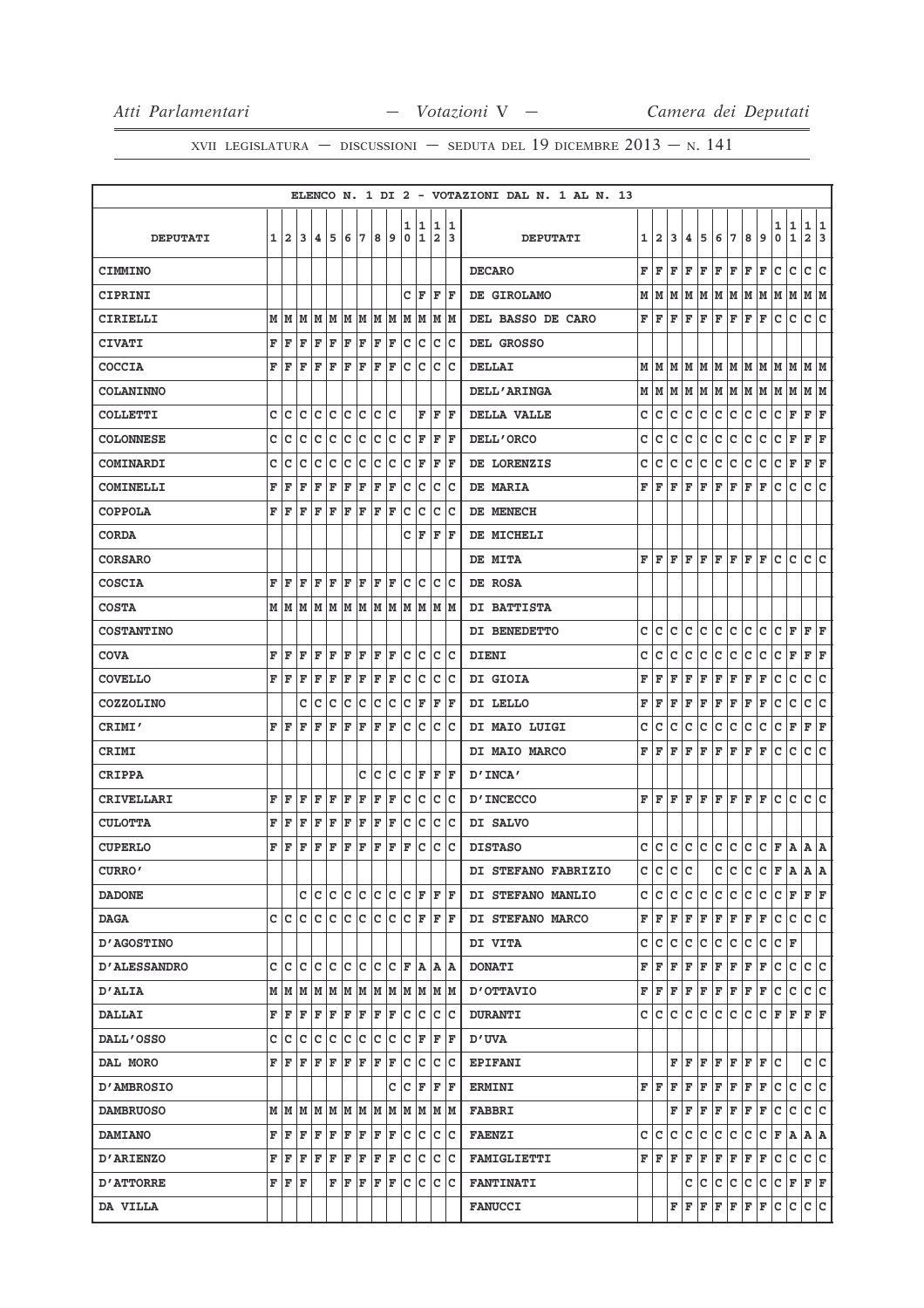|                     |   |                |                                                      |     |               |       |    |      |    |                  |                    |                              |          | ELENCO N. 1 DI 2 - VOTAZIONI DAL N. 1 AL N. 13 |   |              |           |             |                                                                                        |                    |                                                                                                                             |     |                                                                                                                                                                                                    |        |             |                          |         |
|---------------------|---|----------------|------------------------------------------------------|-----|---------------|-------|----|------|----|------------------|--------------------|------------------------------|----------|------------------------------------------------|---|--------------|-----------|-------------|----------------------------------------------------------------------------------------|--------------------|-----------------------------------------------------------------------------------------------------------------------------|-----|----------------------------------------------------------------------------------------------------------------------------------------------------------------------------------------------------|--------|-------------|--------------------------|---------|
| <b>DEPUTATI</b>     | 1 | $\overline{a}$ | 3                                                    | 4   | 5             | 6     | 7  | 8    | 9  | 1<br>$\mathbf 0$ | 11<br>1            | 1<br>$\overline{\mathbf{2}}$ | 11<br>13 | <b>DEPUTATI</b>                                | 1 | $\mathbf{2}$ | 3         | 4           | 5                                                                                      | 6                  | 7                                                                                                                           | 8   | 9                                                                                                                                                                                                  | 1<br>0 | 1<br>1      | 1<br>$\mathbf{2}$        | 11<br>3 |
| <b>CIMMINO</b>      |   |                |                                                      |     |               |       |    |      |    |                  |                    |                              |          | <b>DECARO</b>                                  | F | F            | F         | lF.         | $\rm\mathbf{F}$                                                                        | F F                |                                                                                                                             | F   | F                                                                                                                                                                                                  | с      | c           | c                        | lc.     |
| CIPRINI             |   |                |                                                      |     |               |       |    |      |    | c                | F                  | F                            | F        | DE GIROLAMO                                    | М |              | M M       |             |                                                                                        |                    |                                                                                                                             |     | M  M  M  M  M  M  M  M                                                                                                                                                                             |        |             | M  M                     |         |
| CIRIELLI            |   | MM             | M                                                    |     | M M           | M M   |    | M  M |    | lм               | M                  | М                            | lм       | DEL BASSO DE CARO                              | F | ΙF           | F         | F           | F                                                                                      | F                  | F                                                                                                                           | F   | F                                                                                                                                                                                                  | c      | c           | c                        | c       |
| <b>CIVATI</b>       | F | ١F             | F                                                    | l F | F             | F     | F  | F    | F  | c                | Iс                 | c                            | Iс       | DEL GROSSO                                     |   |              |           |             |                                                                                        |                    |                                                                                                                             |     |                                                                                                                                                                                                    |        |             |                          |         |
| COCCIA              | F | ΙF             | F                                                    | F   | ΙF            | F     | F  | F    | F  | с                | c                  | с                            | Ιc       | DELLAI                                         | м | M            | lМ        | lм          | M                                                                                      | M M                |                                                                                                                             | M   | lм                                                                                                                                                                                                 | M      | lм          | M  M                     |         |
| <b>COLANINNO</b>    |   |                |                                                      |     |               |       |    |      |    |                  |                    |                              |          | <b>DELL'ARINGA</b>                             |   |              |           |             | $M$ $M$ $M$ $M$ $M$ $M$ $M$                                                            |                    |                                                                                                                             | MM  |                                                                                                                                                                                                    | MM     |             | M  M                     |         |
| <b>COLLETTI</b>     | c | c              | c                                                    | Ιc  | Ιc            | c     | c  | c    | c  |                  | F                  | F                            | ΙF       | DELLA VALLE                                    | с | с            | c         | с           | с                                                                                      | с                  | с                                                                                                                           | с   | с                                                                                                                                                                                                  | с      | F           | F                        | F       |
| <b>COLONNESE</b>    | c | c              | C                                                    | lc. | c             | lc    | c  | C    | lc | c                | F                  | F                            | ΙF       | <b>DELL'ORCO</b>                               | c | c            | C         | C           | C                                                                                      | $\mathtt{C}$       | C                                                                                                                           | c   | с                                                                                                                                                                                                  | C      | F           | F                        | F       |
| <b>COMINARDI</b>    | c | Ιc             | c                                                    | Iс  | Iс            | Ιc    | c  | c    | c  | c                | F                  | F                            | ΙF       | DE LORENZIS                                    | с | с            | c         | с           | c                                                                                      | c                  | c                                                                                                                           | с   | c                                                                                                                                                                                                  | c      | F           | F                        | F       |
| COMINELLI           | F | ΙF             | F                                                    | F   | ΙF            | F     | ΙF | F    | F  | с                | c                  | c                            | Iс       | DE MARIA                                       | F | l F          | F         | F           | F                                                                                      | F                  | F                                                                                                                           | F   | F                                                                                                                                                                                                  | c      | c           | c                        | c       |
| <b>COPPOLA</b>      | F | ΙF             | ΙF                                                   | l F | F             | F     | F  | F    | F  | c                | Ιc                 | c                            | Iс       | DE MENECH                                      |   |              |           |             |                                                                                        |                    |                                                                                                                             |     |                                                                                                                                                                                                    |        |             |                          |         |
| <b>CORDA</b>        |   |                |                                                      |     |               |       |    |      |    | c                | F                  | F                            | ΙF       | DE MICHELI                                     |   |              |           |             |                                                                                        |                    |                                                                                                                             |     |                                                                                                                                                                                                    |        |             |                          |         |
| <b>CORSARO</b>      |   |                |                                                      |     |               |       |    |      |    |                  |                    |                              |          | DE MITA                                        |   |              | F F F F F |             |                                                                                        | $F$ $F$            |                                                                                                                             | F F |                                                                                                                                                                                                    | с      | c           | c c                      |         |
| <b>COSCIA</b>       | F | l F            | l F                                                  | l F | ΙF            | F     | F  | F    | F  | c                | Ιc                 | c                            | lc       | DE ROSA                                        |   |              |           |             |                                                                                        |                    |                                                                                                                             |     |                                                                                                                                                                                                    |        |             |                          |         |
| <b>COSTA</b>        |   |                | м ім ім                                              | M   | M             | M     | M  | MM   |    | M                | M                  | M                            | lм       | DI BATTISTA                                    |   |              |           |             |                                                                                        |                    |                                                                                                                             |     |                                                                                                                                                                                                    |        |             |                          |         |
| <b>COSTANTINO</b>   |   |                |                                                      |     |               |       |    |      |    |                  |                    |                              |          | DI BENEDETTO                                   | с | с            | c         | с           | c                                                                                      | c                  | c                                                                                                                           | c   | c                                                                                                                                                                                                  | с      | $\mathbf F$ | F F                      |         |
| <b>COVA</b>         | F | F              | F                                                    | F   | ΙF            | F     | F  | F    | F  | c                | Ιc                 | с                            | Iс       | <b>DIENI</b>                                   | c | c            | с         | c           | c                                                                                      | c                  | с                                                                                                                           | с   | с                                                                                                                                                                                                  | с      | F           | F                        | F       |
| <b>COVELLO</b>      | F | İF             | F                                                    | F   | F             | F     | F  | F    | F  | c                | Iс                 | c                            | Iс       | DI GIOIA                                       | F | F            | F         | F           | F                                                                                      | F                  | F                                                                                                                           | F   | F                                                                                                                                                                                                  | с      | $\mathbf C$ | c                        | ∣c      |
| <b>COZZOLINO</b>    |   |                | с                                                    | Ιc  | C             | c     | с  | c    | c  | c                | F                  | F                            | ΙF       | DI LELLO                                       | F | F            | F         | F           | F                                                                                      | F                  | F                                                                                                                           | F   | F                                                                                                                                                                                                  | с      | c           | с                        | c       |
| CRIMI'              | F | ΙF             | F                                                    | ΙF  | ΙF            | F     | F  | F    | F  | c                | c                  | c                            | Iс       | DI MAIO LUIGI                                  | с | c            | с         | с           | с                                                                                      | c                  | с                                                                                                                           | c   | с                                                                                                                                                                                                  | с      | F           | $\vert \mathbf{F} \vert$ | F       |
| <b>CRIMI</b>        |   |                |                                                      |     |               |       |    |      |    |                  |                    |                              |          | DI MAIO MARCO                                  | F | F            | F         | F           | F                                                                                      | F                  | F                                                                                                                           | F   | F                                                                                                                                                                                                  | c      | c           | c                        | lc.     |
| CRIPPA              |   |                |                                                      |     |               |       | c  | c    | c  | c                | F                  | F                            | l F      | "INCA                                          |   |              |           |             |                                                                                        |                    |                                                                                                                             |     |                                                                                                                                                                                                    |        |             |                          |         |
| <b>CRIVELLARI</b>   | F | l F            | ΙF                                                   | l F | F             | F     | F  | F    | F  | Iс               | Iс                 | c                            | Ιc       | <b>D'INCECCO</b>                               |   | FF           | lF.       | $F$ $F$     |                                                                                        | $F$ $F$            |                                                                                                                             | FF  |                                                                                                                                                                                                    | c      | c           | c                        | lc.     |
| <b>CULOTTA</b>      | F | ΙF             | F                                                    | F   | ΙF            | F     | F  | F    | F  | с                | c                  | с                            | Iс       | DI SALVO                                       |   |              |           |             |                                                                                        |                    |                                                                                                                             |     |                                                                                                                                                                                                    |        |             |                          |         |
| <b>CUPERLO</b>      | F | ΙF             | F                                                    | F   | F             | F     | F  | F    | F  | ΙF               | c                  | c                            | Iс       | <b>DISTASO</b>                                 | c | c            | c         | c           | c                                                                                      | c                  | lc.                                                                                                                         | c   | c                                                                                                                                                                                                  | F A    |             | A   A                    |         |
| CURRO'              |   |                |                                                      |     |               |       |    |      |    |                  |                    |                              |          | DI STEFANO FABRIZIO                            | c | c            | c         | c           |                                                                                        | c                  | c                                                                                                                           | c   | c                                                                                                                                                                                                  | F      | l A         | A                        | lA.     |
| <b>DADONE</b>       |   |                |                                                      |     | c c c c c c c |       |    |      |    |                  | C F                | F F                          |          | DI STEFANO MANLIO                              |   | c  c         | с         | c           | с                                                                                      | c                  | с                                                                                                                           | C   | с                                                                                                                                                                                                  |        | C F F F     |                          |         |
| <b>DAGA</b>         |   |                | c c c c c c c c c c                                  |     |               |       |    |      |    |                  | C F                | F F                          |          | <b>DI STEFANO MARCO</b>                        |   |              | F F F     |             |                                                                                        |                    | $F$ $F$ $F$ $F$ $F$ $F$                                                                                                     |     |                                                                                                                                                                                                    | c      | c.          | c c                      |         |
| <b>D'AGOSTINO</b>   |   |                |                                                      |     |               |       |    |      |    |                  |                    |                              |          | DI VITA                                        | c | c            | с         | с           | с                                                                                      | c                  | lc.                                                                                                                         | c.  | с                                                                                                                                                                                                  | с      | F           |                          |         |
| <b>D'ALESSANDRO</b> |   |                |                                                      |     |               |       |    |      |    |                  |                    | A  A                         |          | <b>DONATI</b>                                  | F | F F          |           | F           | F                                                                                      | F F                |                                                                                                                             | F F |                                                                                                                                                                                                    | c      | c           | c c                      |         |
| <b>D'ALIA</b>       |   |                |                                                      |     |               |       |    |      |    |                  |                    |                              |          | <b>D'OTTAVIO</b>                               |   |              |           |             | $\mathbf{F} \left  \mathbf{F} \right  \mathbf{F} \left  \mathbf{F} \right  \mathbf{F}$ | $F$ $\overline{F}$ |                                                                                                                             | F F |                                                                                                                                                                                                    | с      | c           | C C                      |         |
| <b>DALLAI</b>       |   |                | F   F   F   F   F   F   F   F                        |     |               |       |    |      |    |                  | c c                |                              | c c      | <b>DURANTI</b>                                 |   |              |           |             | cicicicic                                                                              | c c                |                                                                                                                             | ∣c∙ | C F F F F                                                                                                                                                                                          |        |             |                          |         |
| <b>DALL'OSSO</b>    |   | c  c           | Iс                                                   | Iс  | c             | Iс    | c  | c    | c  | Iс               | F                  | F                            | ΙF       | <b>D'UVA</b>                                   |   |              |           |             |                                                                                        |                    |                                                                                                                             |     |                                                                                                                                                                                                    |        |             |                          |         |
| DAL MORO            |   |                | ${\tt F}\, {\tt F}\, {\tt F}\, {\tt F}\, {\tt F}\, $ |     |               | F F   |    | F F  |    | lc.              | c                  | c                            | Iс       | <b>EPIFANI</b>                                 |   |              |           |             |                                                                                        |                    |                                                                                                                             |     | $\mathbf{F} \left  \mathbf{F} \right. \left  \mathbf{F} \right. \left  \mathbf{F} \right. \left  \mathbf{F} \right. \left  \mathbf{F} \right. \left  \mathbf{F} \right. \left  \mathbf{C} \right.$ |        |             | c c                      |         |
| <b>D'AMBROSIO</b>   |   |                |                                                      |     |               |       |    |      | c  |                  | $ C $ $\mathbf{F}$ | FF                           |          | <b>ERMINI</b>                                  |   | FF           | F         |             | F F F F                                                                                |                    |                                                                                                                             | F F |                                                                                                                                                                                                    | с      | с           | c c                      |         |
| <b>DAMBRUOSO</b>    |   |                | M   M   M   M   M   M   M   M                        |     |               |       |    |      |    |                  | M M                | IM IM                        |          | <b>FABBRI</b>                                  |   |              |           | FF          | F                                                                                      | F                  | F                                                                                                                           | F F |                                                                                                                                                                                                    | с      | с           | C C                      |         |
| <b>DAMIANO</b>      |   | FF             | F F                                                  |     | ΙF            | F F   |    | F F  |    |                  | c c                | c c                          |          | <b>FAENZI</b>                                  |   | C C          | c         | $\mathbf C$ | c                                                                                      | c                  | lc.                                                                                                                         | c   | c                                                                                                                                                                                                  | F A    |             | A A                      |         |
| <b>D'ARIENZO</b>    |   | F F            | l F                                                  | F   | F             | F     | F  | F    | F  | с                | Iс                 | c                            | ΙC       | <b>FAMIGLIETTI</b>                             |   | F F.         | F         | F           | F                                                                                      | F                  | F                                                                                                                           | F   | F                                                                                                                                                                                                  | с      | с           | C C                      |         |
| <b>D'ATTORRE</b>    |   | FFF            |                                                      |     |               | F F F |    | F F  |    |                  | c c                |                              | c c      | <b>FANTINATI</b>                               |   |              |           | c           | с                                                                                      | c                  | c                                                                                                                           | c   | c                                                                                                                                                                                                  |        | C F F F     |                          |         |
| DA VILLA            |   |                |                                                      |     |               |       |    |      |    |                  |                    |                              |          | <b>FANUCCI</b>                                 |   |              |           |             |                                                                                        |                    | $\mathbf{F} \left  \mathbf{F} \right  \mathbf{F} \left  \mathbf{F} \right  \mathbf{F} \left  \mathbf{F} \right  \mathbf{F}$ |     |                                                                                                                                                                                                    | c      | c.          | c c                      |         |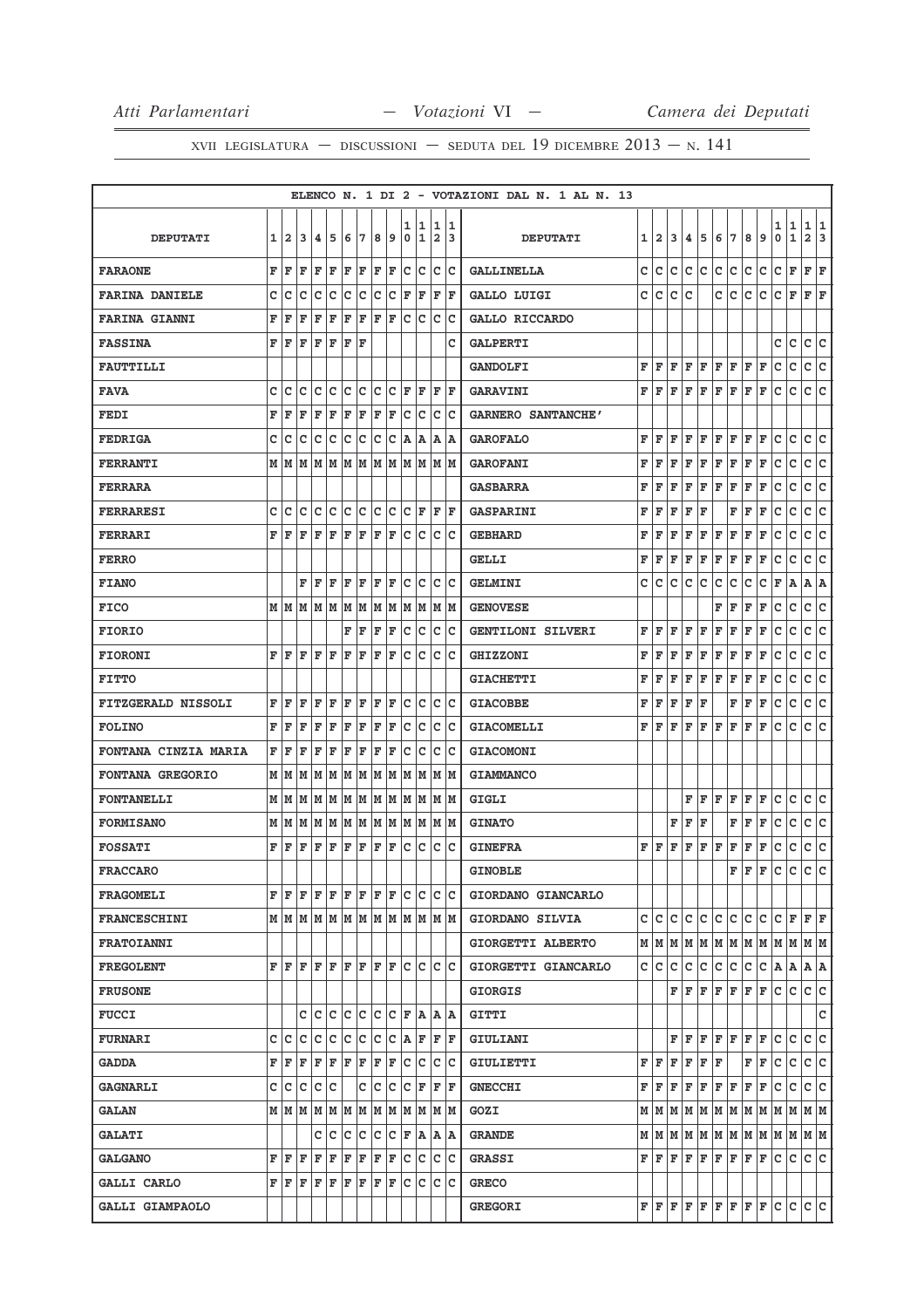|                             |   |              |      |     |     |     |         |     |     |             |     |               |       | ELENCO N. 1 DI 2 - VOTAZIONI DAL N. 1 AL N. 13 |   |       |              |             |     |                                                                                                                                                                                                                                                          |              |              |   |              |             |                         |     |
|-----------------------------|---|--------------|------|-----|-----|-----|---------|-----|-----|-------------|-----|---------------|-------|------------------------------------------------|---|-------|--------------|-------------|-----|----------------------------------------------------------------------------------------------------------------------------------------------------------------------------------------------------------------------------------------------------------|--------------|--------------|---|--------------|-------------|-------------------------|-----|
|                             |   |              |      |     |     |     |         |     |     | 1           | 1   | 1             | 1     |                                                |   |       |              |             |     |                                                                                                                                                                                                                                                          |              |              |   | 1            | 1           | 1                       | 1   |
| <b>DEPUTATI</b>             | 1 | $\mathbf{2}$ | 3    | 4   | 5   | 6   | 7       | 8   | 9   | 0           | 1   | 2             | 3     | <b>DEPUTATI</b>                                | 1 | 2     | 3            | 4           | 5   | 6                                                                                                                                                                                                                                                        | 7            | 8            | 9 | 0            | $\mathbf 1$ | $\overline{\mathbf{2}}$ | 3   |
| <b>FARAONE</b>              | F | F            | F    | F   | F   | F   | F       | F   | F   | c           | с   | c             | Ιc    | <b>GALLINELLA</b>                              | c | c     | c            | с           | c   | с                                                                                                                                                                                                                                                        | с            | с            | с | с            | F           | F                       | F   |
| <b>FARINA DANIELE</b>       | C | c            | c    | c   | c   | c   | c       | C   | c   | F           | F   | F             | l F   | GALLO LUIGI                                    | c | c     | c            | C           |     | c                                                                                                                                                                                                                                                        | C            | с            | с | c            | $\mathbf F$ | F F                     |     |
| <b>FARINA GIANNI</b>        | F | F            | F    | F   | F   | F   | F       | F   | l F | $\mathbf c$ | lc. | c             | Ιc    | GALLO RICCARDO                                 |   |       |              |             |     |                                                                                                                                                                                                                                                          |              |              |   |              |             |                         |     |
| <b>FASSINA</b>              | F | F            | F    | F   | F   | F   | F       |     |     |             |     |               | c     | <b>GALPERTI</b>                                |   |       |              |             |     |                                                                                                                                                                                                                                                          |              |              |   | c            | c           | c                       | c   |
| <b>FAUTTILLI</b>            |   |              |      |     |     |     |         |     |     |             |     |               |       | <b>GANDOLFI</b>                                | F | F     | F            | F           | F   | F                                                                                                                                                                                                                                                        | F            | F            | F | c            | c           | c                       | lc. |
| <b>FAVA</b>                 | c | c            | c    | c   | c   | c   | c       | c   | c   | F           | F   | F             | F     | <b>GARAVINI</b>                                | F | l F   | F            | F           | F   | F                                                                                                                                                                                                                                                        | F            | F            | F | с            | c           | c                       | lc. |
| <b>FEDI</b>                 | F | F            | F    | F   | F   | F   | F       | F   | F   | c           | c   | c             | c     | <b>GARNERO SANTANCHE'</b>                      |   |       |              |             |     |                                                                                                                                                                                                                                                          |              |              |   |              |             |                         |     |
| <b>FEDRIGA</b>              | с | c            | с    | c   | c   | c   | c       | c   | с   | A           | Α   | Α             | lA.   | <b>GAROFALO</b>                                | F | F     | F            | F           | F   | F                                                                                                                                                                                                                                                        | F            | F            | F | с            | С           | c c                     |     |
| <b>FERRANTI</b>             | M | M            | M    | M   | M   | M   | M       | M   | M   | M           | M   | M             | M     | <b>GAROFANI</b>                                | F | F     | F            | F           | F   | F                                                                                                                                                                                                                                                        | F            | F            | F | с            | с           | c                       | c   |
| <b>FERRARA</b>              |   |              |      |     |     |     |         |     |     |             |     |               |       | <b>GASBARRA</b>                                | F | F     | F            | F           | F   | F                                                                                                                                                                                                                                                        | F            | F            | F | c            | c           | c                       | lc. |
| <b>FERRARESI</b>            | C | c            | C    | c   | c   | c   | c       | c   | Iс  | с           | F   | F             | F     | <b>GASPARINI</b>                               | F | F     | F            | F           | F   |                                                                                                                                                                                                                                                          | F            | F            | F | с            | с           | c                       | lc. |
| <b>FERRARI</b>              | F | F            | F    | F   | F   | F   | F       | F   | F   | c           | c   | c             | c     | <b>GEBHARD</b>                                 | F | F     | F            | F           | F   | F                                                                                                                                                                                                                                                        | F            | F            | F | c            | c           | c                       | c   |
| <b>FERRO</b>                |   |              |      |     |     |     |         |     |     |             |     |               |       | <b>GELLI</b>                                   | F | F     | F            | F           | F   | F                                                                                                                                                                                                                                                        | F            | F            | F | с            | с           | с                       | c   |
| <b>FIANO</b>                |   |              | F    | F   | F   | F   | F       | F   | F   | c           | c   | c             | Ιc    | <b>GELMINI</b>                                 | с | c     | с            | с           | c   | с                                                                                                                                                                                                                                                        | с            | с            | с | $\mathbf{F}$ | A           | А                       | ١A  |
| <b>FICO</b>                 |   | MM           | M    | M   | M   | M   | M       | M   | M   | М           | M   |               | M M   | <b>GENOVESE</b>                                |   |       |              |             |     | F                                                                                                                                                                                                                                                        | F            | F            | F | с            | c           | c                       | c   |
| <b>FIORIO</b>               |   |              |      |     |     | F   | F       | F   | F   | C           | C   | C             | c     | GENTILONI SILVERI                              | F | F     | F            | F           | F   | F                                                                                                                                                                                                                                                        | $\mathbf{F}$ | F            | F | с            | с           | с                       | c   |
| <b>FIORONI</b>              | F | F            | ΙF   | F   | ΙF  | F   | F       | F   | ΙF  | C           | c   | c             | c     | <b>GHIZZONI</b>                                | F | F     | $\mathbf{F}$ | F           | F   | F                                                                                                                                                                                                                                                        | F            | F            | F | c            | с           | c                       | lc. |
| <b>FITTO</b>                |   |              |      |     |     |     |         |     |     |             |     |               |       | <b>GIACHETTI</b>                               | F | F     | F            | F           | F   | F                                                                                                                                                                                                                                                        | F            | F            | F | с            | c           | с                       | lc. |
| <b>FITZGERALD NISSOLI</b>   | F | F            | F    | F   | F   | F   | F       | F   | F   | c           | c   | c             | c     | <b>GIACOBBE</b>                                | F | F     | F            | F           | F   |                                                                                                                                                                                                                                                          | F            | F            | F | c            | c           | с                       | c   |
| <b>FOLINO</b>               | F | F            | F    | F   | F   | F   | F       | F   | F   | c           | c   | c             | Ιc    | <b>GIACOMELLI</b>                              | F | l F   | F            | F           | F   | F                                                                                                                                                                                                                                                        | F            | F            | F | с            | c           | c                       | lc. |
| <b>FONTANA CINZIA MARIA</b> | F | F            | F    | F   | F   | F   | F       | F   | F   | с           | с   | с             | c     | <b>GIACOMONI</b>                               |   |       |              |             |     |                                                                                                                                                                                                                                                          |              |              |   |              |             |                         |     |
| <b>FONTANA GREGORIO</b>     | M | M            | M    | M   | M   | M   | M       | M   | M   | M           | M   | M             | M     | <b>GIAMMANCO</b>                               |   |       |              |             |     |                                                                                                                                                                                                                                                          |              |              |   |              |             |                         |     |
| <b>FONTANELLI</b>           | M | M            | M    | M   | M   | M   | M       | M   | M   | M           | M   | M             | M     | GIGLI                                          |   |       |              | F           | F   | F                                                                                                                                                                                                                                                        | F            | F            | F | с            | с           | c                       | c   |
| <b>FORMISANO</b>            | М | M            | M    | M   | M   | M   | M       | M   | M   | М           | М   | М             | M     | <b>GINATO</b>                                  |   |       | F            | F           | F   |                                                                                                                                                                                                                                                          | F            | F            | F | c            | C           | c                       | ∣c  |
| <b>FOSSATI</b>              | F | F            | F    | F   | F   | F   | F       | F   | F   | c           | c   | c             | Ιc    | <b>GINEFRA</b>                                 | F | ΙF    | F            | F           | F   | F                                                                                                                                                                                                                                                        | F            | $\mathbf{F}$ | F | с            | c           | c                       | lc. |
| <b>FRACCARO</b>             |   |              |      |     |     |     |         |     |     |             |     |               |       | <b>GINOBLE</b>                                 |   |       |              |             |     |                                                                                                                                                                                                                                                          | F            | F            | F | с            | c           | c                       | lc. |
| <b>FRAGOMELI</b>            | F | F            | F    | F F |     | F   | F       | F   | F   | Iс          | Iс  |               | c c   | GIORDANO GIANCARLO                             |   |       |              |             |     |                                                                                                                                                                                                                                                          |              |              |   |              |             |                         |     |
| <b>FRANCESCHINI</b>         |   |              | MMMM |     |     |     | M M M M |     |     |             |     | M  M  M  M  M |       | GIORDANO SILVIA                                | c | с     | с            | с           | c   | с                                                                                                                                                                                                                                                        | c            | c            | с | с            | F           | $F$ $\bf{F}$            |     |
| <b>FRATOIANNI</b>           |   |              |      |     |     |     |         |     |     |             |     |               |       | GIORGETTI ALBERTO                              |   |       |              |             |     | $M$   $M$   $M$   $M$   $M$   $M$   $M$   $M$   $M$   $M$                                                                                                                                                                                                |              |              |   |              |             | MM                      |     |
| <b>FREGOLENT</b>            | F | F            | l F  | F   | l F | F   | lF.     | lF. | lF  | c           | c   | c             | lc    | GIORGETTI GIANCARLO                            | c | c     | c            | $\mathbf C$ | c   | c                                                                                                                                                                                                                                                        | c            | c            | c | A A          |             | A A                     |     |
| <b>FRUSONE</b>              |   |              |      |     |     |     |         |     |     |             |     |               |       | <b>GIORGIS</b>                                 |   |       |              | FF          | F   | F                                                                                                                                                                                                                                                        | F            | F            | F | c            | c           | c c                     |     |
| <b>FUCCI</b>                |   |              | c    | Iс  | Iс  | lc. | lc.     | c   | Iс  | F           | lA. |               | IA IA | <b>GITTI</b>                                   |   |       |              |             |     |                                                                                                                                                                                                                                                          |              |              |   |              |             |                         | c   |
| <b>FURNARI</b>              | c | Iс           | с    | с   | c   | c   | c       | с   | c   | A           | F   | F             | F     | GIULIANI                                       |   |       | F            | F           | F   | $F$ $F$                                                                                                                                                                                                                                                  |              | F            | F | с            | с           | c                       | c   |
| <b>GADDA</b>                | F | F            | F    | F   | F   | F   | F       | F   | F   | c           | c   |               | c c   | <b>GIULIETTI</b>                               |   | FF    | F            | F           | F F |                                                                                                                                                                                                                                                          |              | F F          |   | с            | lc.         | c c                     |     |
| <b>GAGNARLI</b>             | с | c            | с    | c   | c   |     | c       | C   | c   | с           | F   | F             | F     | <b>GNECCHI</b>                                 | F | F     | F            | F           | F   | F                                                                                                                                                                                                                                                        | F            | F            | F | с            | с           | c c                     |     |
| <b>GALAN</b>                |   | $M$ $M$ $M$  |      | М   | M   | M   | M       | М   | M   | M           | M   |               | M  M  | GOZI                                           |   | M   M |              | MM          |     | M  M  M  M  M  M  M  M                                                                                                                                                                                                                                   |              |              |   |              |             |                         |     |
| <b>GALATI</b>               |   |              |      | c   | c   | c   | c       | C   | lc  | F           | A   |               | A  A  | <b>GRANDE</b>                                  |   |       |              |             |     | $M$ $ M$ $ M$ $ M$ $ M$ $ M$ $ M$ $ M$ $ M$                                                                                                                                                                                                              |              |              |   | M M          |             | MM                      |     |
| <b>GALGANO</b>              | F | F            | F    | F   | F   | F   | F       | F   | F   | c           | c   | c             | Ιc    | <b>GRASSI</b>                                  |   | FF    | F            | F           | F   | F                                                                                                                                                                                                                                                        | F            | F            | F | c            | с           | C C                     |     |
| <b>GALLI CARLO</b>          | F | F            | F    | F   | F   | F   | F       | F   | F   | c           | c   | Iс            | lc    | <b>GRECO</b>                                   |   |       |              |             |     |                                                                                                                                                                                                                                                          |              |              |   |              |             |                         |     |
| <b>GALLI GIAMPAOLO</b>      |   |              |      |     |     |     |         |     |     |             |     |               |       | <b>GREGORI</b>                                 |   |       |              |             |     | $\mathbf{F}\left \mathbf{F}\right.\left \mathbf{F}\right.\left \mathbf{F}\right.\left \mathbf{F}\right.\left \mathbf{F}\right.\left \mathbf{F}\right.\left \mathbf{F}\right.\left \mathbf{F}\right.\left \mathbf{C}\right.\left \mathbf{C}\right.\left.$ |              |              |   |              |             | c c                     |     |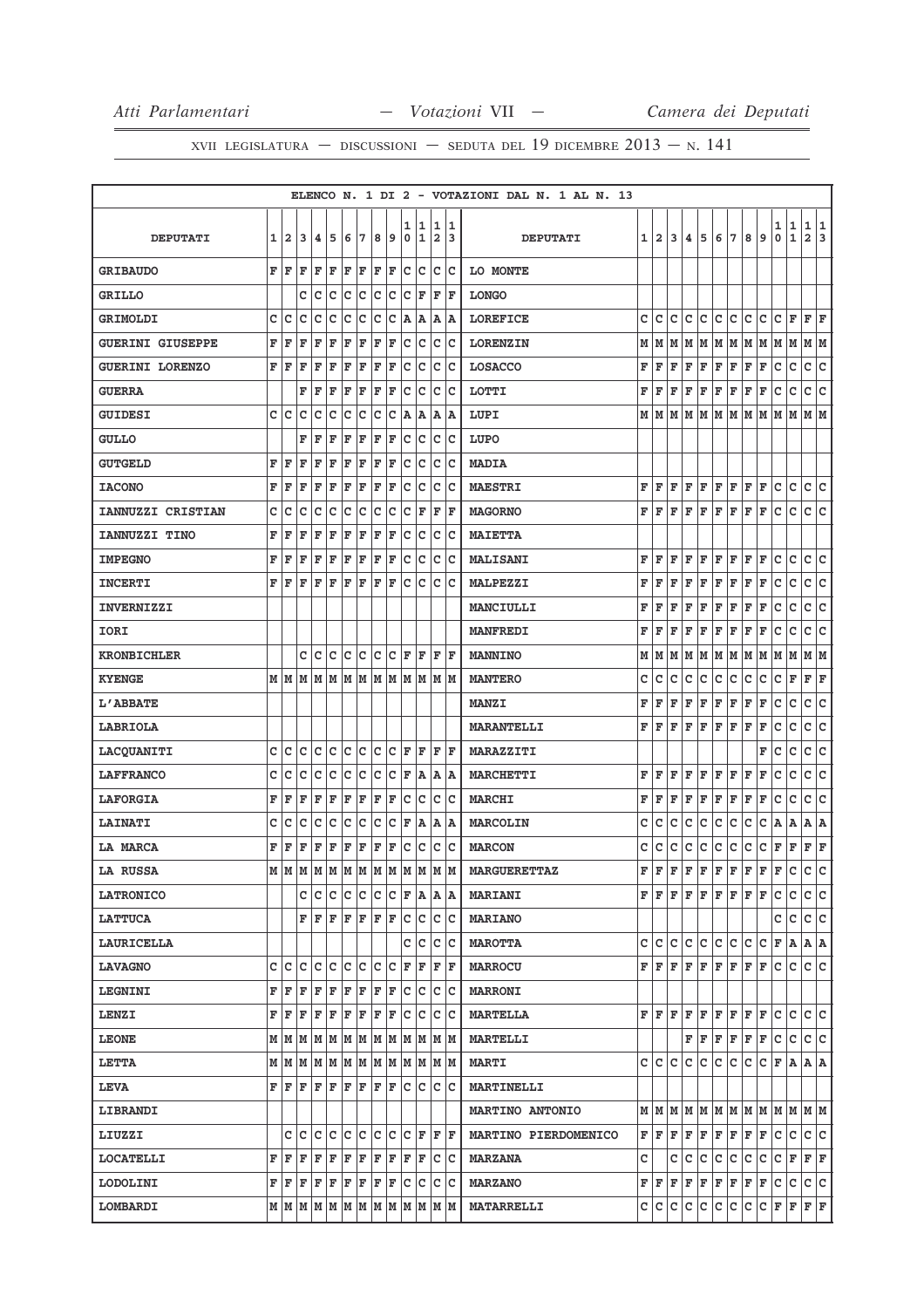|                         |   |     |             |    |     |     |         |     |     |     |                                                                                                                                                                                              |                |            | ELENCO N. 1 DI 2 - VOTAZIONI DAL N. 1 AL N. 13 |    |                           |     |     |     |     |                                                                                                                  |      |                                                                             |                    |              |                |     |
|-------------------------|---|-----|-------------|----|-----|-----|---------|-----|-----|-----|----------------------------------------------------------------------------------------------------------------------------------------------------------------------------------------------|----------------|------------|------------------------------------------------|----|---------------------------|-----|-----|-----|-----|------------------------------------------------------------------------------------------------------------------|------|-----------------------------------------------------------------------------|--------------------|--------------|----------------|-----|
|                         |   |     |             |    |     |     |         |     |     | 1   | 1                                                                                                                                                                                            | 1              | 1          |                                                |    |                           |     |     |     |     |                                                                                                                  |      |                                                                             | 1                  | $\mathbf{1}$ | 1              | 1   |
| <b>DEPUTATI</b>         | 1 | 12  | 3           | 4  | 5   | 6   | 7       | 8   | 9   | 0   | 1                                                                                                                                                                                            | $\overline{2}$ | 3          | <b>DEPUTATI</b>                                |    | $1\vert 2$                | 3   | 4   | 5   | 6   | 7                                                                                                                | 8    | 9                                                                           | 0                  | $\mathbf{1}$ | $\overline{a}$ | 3   |
| <b>GRIBAUDO</b>         | F | F   | F           | F  | F   | F   | F       | F   | F   | c   | c                                                                                                                                                                                            | $\mathtt{C}$   | lc.        | LO MONTE                                       |    |                           |     |     |     |     |                                                                                                                  |      |                                                                             |                    |              |                |     |
| <b>GRILLO</b>           |   |     | C           | c  | c   | c   | c       | c   | c   | c   | F                                                                                                                                                                                            | F              | F          | <b>LONGO</b>                                   |    |                           |     |     |     |     |                                                                                                                  |      |                                                                             |                    |              |                |     |
| <b>GRIMOLDI</b>         | с | Iс  | с           | с  | с   | c   | с       | c   | с   | A   | A                                                                                                                                                                                            | Α              | ۱A         | <b>LOREFICE</b>                                | с  | с                         | c   | с   | с   | с   | c                                                                                                                | с    | c                                                                           | с                  | F            | F F            |     |
| <b>GUERINI GIUSEPPE</b> | F | F   | F           | F  | F   | F   | F       | F   | F   | c   | c                                                                                                                                                                                            | c              | lc.        | <b>LORENZIN</b>                                | М  | м                         | м   | M   | М   | M   | M                                                                                                                | M    | M                                                                           | M                  | M            | MM             |     |
| <b>GUERINI LORENZO</b>  | F | F   | F           | F  | F   | F   | F       | F   | F   | lc. | Ιc                                                                                                                                                                                           | c              | Ιc         | <b>LOSACCO</b>                                 | F  | F                         | F   | F   | F   | F   | F                                                                                                                | F    | F                                                                           | с                  | c            | c              | lc. |
| <b>GUERRA</b>           |   |     | F           | F  | F   | F   | F       | F   | F   | c   | c                                                                                                                                                                                            | c              | Ιc         | LOTTI                                          | F  | F                         | F   | F   | F   | F   | F                                                                                                                | F    | F                                                                           | с                  | c            | c              | lc. |
| <b>GUIDESI</b>          | C | Ιc  | c           | c  | с   | с   | с       | c   | c   | lA. | A                                                                                                                                                                                            | A              | ١A         | LUPI                                           | м  | M                         | M   | lм  | M   | M   | M                                                                                                                | M    | lМ                                                                          | M                  | M            | M              | lм  |
| <b>GULLO</b>            |   |     | F           | F  | F   | F   | F       | F   | F   | c   | Iс                                                                                                                                                                                           | c              | Ιc         | LUPO                                           |    |                           |     |     |     |     |                                                                                                                  |      |                                                                             |                    |              |                |     |
| <b>GUTGELD</b>          | F | F   | F           | F  | F   | F   | F       | F   | F   | c   | c                                                                                                                                                                                            | c              | Ιc         | <b>MADIA</b>                                   |    |                           |     |     |     |     |                                                                                                                  |      |                                                                             |                    |              |                |     |
| <b>IACONO</b>           | F | F   | F           | F  | F   | F   | F       | F   | F   | c   | c                                                                                                                                                                                            | c              | Iс         | <b>MAESTRI</b>                                 | F  | F                         | l F | F   | F   | F F |                                                                                                                  | F F  |                                                                             | с                  | с            | c c            |     |
| IANNUZZI CRISTIAN       | с | c   | c           | c  | c   | c   | с       | c   | c   | c   | F                                                                                                                                                                                            | F              | F          | <b>MAGORNO</b>                                 | F  | F                         | F   | F   | F   | F   | F                                                                                                                | F    | F                                                                           | c                  | с            | c              | c   |
| <b>IANNUZZI TINO</b>    | F | F   | F           | F  | F   | F   | F       | F   | F   | c   | lc                                                                                                                                                                                           | c              | Ιc         | <b>MAIETTA</b>                                 |    |                           |     |     |     |     |                                                                                                                  |      |                                                                             |                    |              |                |     |
| <b>IMPEGNO</b>          | F | F   | F           | F  | F   | F   | F       | F   | F   | c   | c                                                                                                                                                                                            | c              | Ιc         | <b>MALISANI</b>                                | F  | F                         | F   | F   | F   | F   | F                                                                                                                | F    | F                                                                           | с                  | c            | c              | lc. |
| <b>INCERTI</b>          | F | F   | F           | F  | F   | F   | F       | F   | F   | c   | c                                                                                                                                                                                            | c              | lc         | <b>MALPEZZI</b>                                | F  | F                         | F   | F   | F   | F   | F                                                                                                                | F    | F                                                                           | c                  | с            | с              | c   |
| <b>INVERNIZZI</b>       |   |     |             |    |     |     |         |     |     |     |                                                                                                                                                                                              |                |            | <b>MANCIULLI</b>                               | F  | F                         | F   | F   | F   | F   | F                                                                                                                | F    | F                                                                           | с                  | c            | c              | lc. |
| IORI                    |   |     |             |    |     |     |         |     |     |     |                                                                                                                                                                                              |                |            | <b>MANFREDI</b>                                | F  | F                         | F   | F   | F   | F   | F                                                                                                                | F    | F                                                                           | с                  | с            | c              | с   |
| <b>KRONBICHLER</b>      |   |     | с           | c  | c   | c   | c       | c   | c   | F   | F                                                                                                                                                                                            | F              | F          | <b>MANNINO</b>                                 | М  | M                         | M   | M   | M   | M   | M                                                                                                                | M  M |                                                                             | M  M               |              | M  M           |     |
| <b>KYENGE</b>           |   | M M | M           | M  | M   | M   |         | MM  | M   | lм  |                                                                                                                                                                                              | MMM            |            | <b>MANTERO</b>                                 | c  | с                         | с   | с   | с   | с   | с                                                                                                                | с    | с                                                                           | c                  | F            | F              | F   |
| <b>L'ABBATE</b>         |   |     |             |    |     |     |         |     |     |     |                                                                                                                                                                                              |                |            | <b>MANZI</b>                                   | F  | F                         | F   | F   | F   | F   | F                                                                                                                | F    | F                                                                           | с                  | c            | c              | lc. |
| <b>LABRIOLA</b>         |   |     |             |    |     |     |         |     |     |     |                                                                                                                                                                                              |                |            | <b>MARANTELLI</b>                              | F  | F                         | F   | F   | F   | F   | F                                                                                                                | F    | F                                                                           | с                  | c            | с              | lc. |
| LACQUANITI              | c | с   | c           | с  | с   | с   | с       | c   | с   | F   | F                                                                                                                                                                                            | F              | F          | <b>MARAZZITI</b>                               |    |                           |     |     |     |     |                                                                                                                  |      | F                                                                           | с                  | с            | c              | c   |
| <b>LAFFRANCO</b>        | c | с   | c           | с  | с   | c   | с       | c   | c   | F   | A                                                                                                                                                                                            |                | $A \mid A$ | <b>MARCHETTI</b>                               | F  | F                         | F   | F   | F   | F   | F                                                                                                                | F    | F                                                                           | с                  | c            | c              | lc. |
| <b>LAFORGIA</b>         | F | F   | F           | F  | F   | F   | F       | F   | F   | c   | c                                                                                                                                                                                            | с              | Ιc         | <b>MARCHI</b>                                  | F  | F                         | F   | F   | F   | F   | F                                                                                                                | F    | F                                                                           | с                  | с            | c              | с   |
| <b>LAINATI</b>          | с | с   | с           | c  | с   | с   | c       | c   | c   | F   | A                                                                                                                                                                                            |                | $A \mid A$ | <b>MARCOLIN</b>                                | с  | с                         | с   | с   | с   | с   | c                                                                                                                | c    | c                                                                           | A                  | A            | $A \mid A$     |     |
| LA MARCA                | F | F   | F           | F  | F   | F   | F       | F   | F   | c   | c                                                                                                                                                                                            | c              | Ιc         | <b>MARCON</b>                                  | c  | c                         | с   | с   | с   | с   | с                                                                                                                | с    | с                                                                           | F                  | F            | F              | F   |
| <b>LA RUSSA</b>         | M | M   | M           | M  | M   | M   | M       | M   | M   | M   | M                                                                                                                                                                                            | M              | M          | <b>MARGUERETTAZ</b>                            | F  | F                         | F   | F   | F   | F   | F                                                                                                                | F    | F                                                                           | F                  | c            | c              | c   |
| <b>LATRONICO</b>        |   |     | c           | Iс | c   | lc. | c       | lc. | IC. |     | F A A A                                                                                                                                                                                      |                |            | <b>MARIANI</b>                                 |    |                           |     |     |     |     | ${\bf F}\, \,{\bf F}\, \,{\bf F}\, \,{\bf F}\, \,{\bf F}\, \,{\bf F}\, \,{\bf F}\, \,{\bf F}\, \,{\bf F}\,$      |      |                                                                             | с                  | c            | c c            |     |
| <b>LATTUCA</b>          |   |     | F           | F  | F   | F   | F       | F   | F   | lc. | lc.                                                                                                                                                                                          |                | c c        | <b>MARIANO</b>                                 |    |                           |     |     |     |     |                                                                                                                  |      |                                                                             | c                  | c            | C C            |     |
| <b>LAURICELLA</b>       |   |     |             |    |     |     |         |     |     | c   | Iс                                                                                                                                                                                           |                | c c        | <b>MAROTTA</b>                                 | c  | lc.                       | lc. | lc. | lc. | c c |                                                                                                                  | lc.  | lc.                                                                         | F A                |              | A   A          |     |
| <b>LAVAGNO</b>          | c | Ιc  | c           | с  | c   | c   | c       | lc. | с   | F   | F                                                                                                                                                                                            | F              | lF.        | <b>MARROCU</b>                                 |    | FF                        | F   | lF. |     |     | $\bf{F}$ $\bf{F}$ $\bf{F}$ $\bf{F}$ $\bf{F}$                                                                     |      |                                                                             | lc.                | c            | C C            |     |
| <b>LEGNINI</b>          | F | F   | F           | F  | F   | F   | F       |     | F F | lc. | c                                                                                                                                                                                            |                | c c        | <b>MARRONI</b>                                 |    |                           |     |     |     |     |                                                                                                                  |      |                                                                             |                    |              |                |     |
| <b>LENZI</b>            | F | F   | F           | F  | F   | F F |         | F   | F   | lc. | Iс                                                                                                                                                                                           | lc.            | ∣c         | <b>MARTELLA</b>                                |    | F F.                      | l F | F   | F   | F F |                                                                                                                  | F F  |                                                                             | c                  | lc.          | lc lc          |     |
| <b>LEONE</b>            |   |     | $M$ $M$ $M$ |    |     |     |         |     |     |     | IM IM IM IM IM IM IM IM IM                                                                                                                                                                   |                |            | <b>MARTELLI</b>                                |    |                           |     |     |     |     | $\mathbf{F} \left  \mathbf{F} \right  \mathbf{F} \left  \mathbf{F} \right  \mathbf{F} \left  \mathbf{F} \right.$ |      |                                                                             | lc.                | c            | c c            |     |
| <b>LETTA</b>            | М |     | MM          |    |     |     |         |     |     |     | M  M  M  M  M  M  M  M  M  M                                                                                                                                                                 |                |            | <b>MARTI</b>                                   |    | c  c  c                   |     | c   | c.  | c.  | c.                                                                                                               | c.   | $ C $ $\mathbf{F}$ $  \mathbf{A}  $                                         |                    |              | A A            |     |
| <b>LEVA</b>             | F | F   | F           | F  | F   | F   | F       |     | F F |     | c c                                                                                                                                                                                          |                | c c        | <b>MARTINELLI</b>                              |    |                           |     |     |     |     |                                                                                                                  |      |                                                                             |                    |              |                |     |
| <b>LIBRANDI</b>         |   |     |             |    |     |     |         |     |     |     |                                                                                                                                                                                              |                |            | <b>MARTINO ANTONIO</b>                         |    |                           |     |     |     |     |                                                                                                                  |      | $M$   $M$   $M$   $M$   $M$   $M$   $M$   $M$   $M$   $M$   $M$   $M$   $M$ |                    |              |                |     |
| LIUZZI                  |   | c   | c           | с  | c   | c   | c       | lc. | lc. | lc. | F                                                                                                                                                                                            | F              | lF.        | MARTINO PIERDOMENICO                           | FF |                           | F   | F   | F   |     | $F$ $F$ $F$ $F$                                                                                                  |      |                                                                             | c                  | c            | c c            |     |
| <b>LOCATELLI</b>        | F | F   | F           | F  | F   |     | F F     |     | F F |     | F F                                                                                                                                                                                          |                | c c        | <b>MARZANA</b>                                 | c  |                           | c   | c   | c   | c   | c.                                                                                                               | c.   | c.                                                                          | $ C $ $\mathbf{F}$ |              | F F            |     |
| <b>LODOLINI</b>         | F | F   | F           |    | F F |     | $F$ $F$ |     | F F | lc. | Iс                                                                                                                                                                                           | c              | Iс         | <b>MARZANO</b>                                 |    | $\mathbf{F}   \mathbf{F}$ | F   | F   | F   |     | F F F F                                                                                                          |      |                                                                             | c                  | c            | c c            |     |
| LOMBARDI                |   |     |             |    |     |     |         |     |     |     | $\textbf{M} \mid \textbf{M} \mid \textbf{M} \mid \textbf{M} \mid \textbf{M} \mid \textbf{M} \mid \textbf{M} \mid \textbf{M} \mid \textbf{M} \mid \textbf{M} \mid \textbf{M} \mid \textbf{M}$ |                |            | <b>MATARRELLI</b>                              | c  | IC.                       | с   | c   | c   | c   | c                                                                                                                | c.   | c                                                                           | F                  | F            | F F            |     |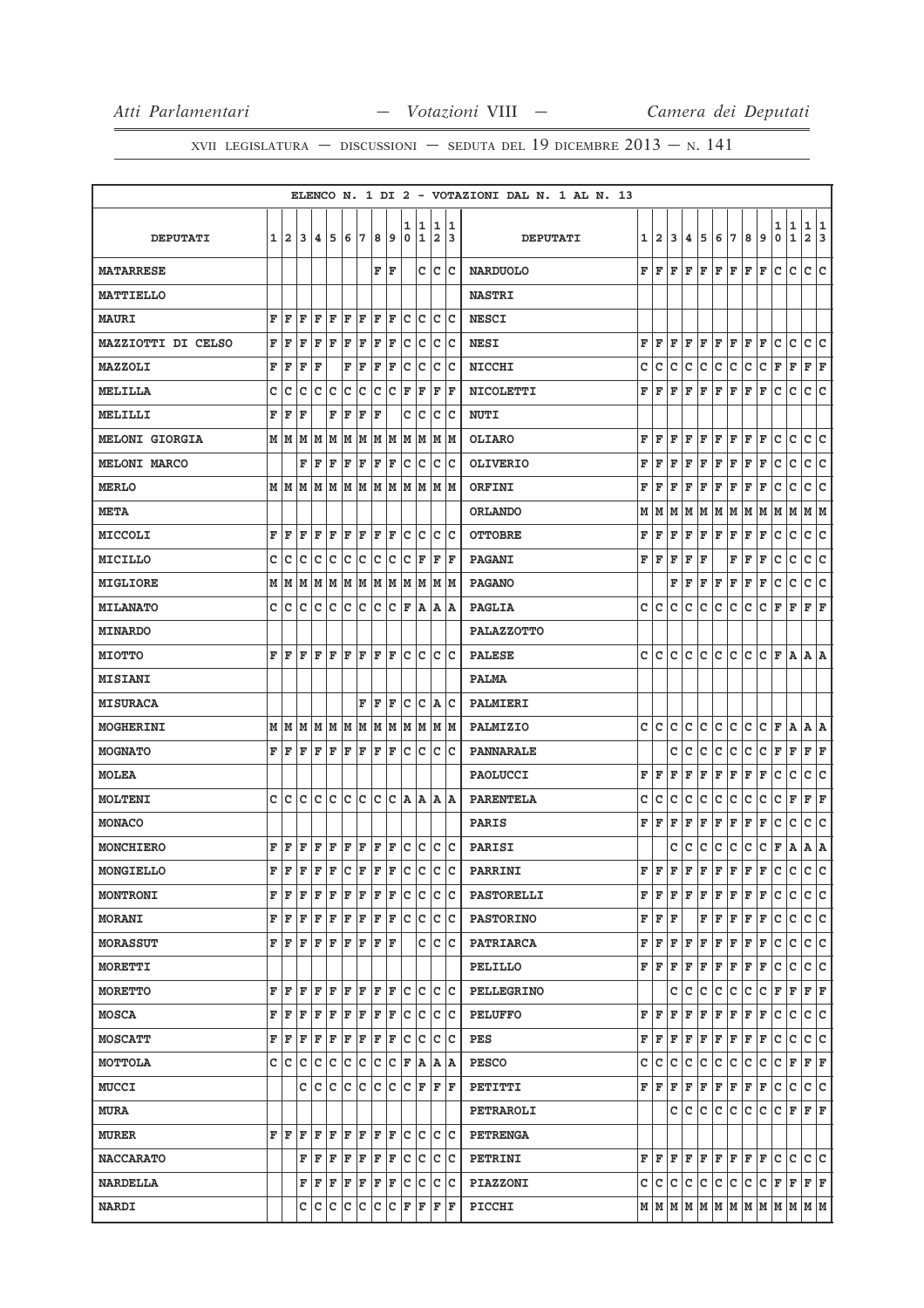|                           |   |                         |    |    |             |     |    |   |     |             |                  |        |        | ELENCO N. 1 DI 2 - VOTAZIONI DAL N. 1 AL N. 13 |   |       |     |    |   |             |   |              |                              |        |                |                     |        |
|---------------------------|---|-------------------------|----|----|-------------|-----|----|---|-----|-------------|------------------|--------|--------|------------------------------------------------|---|-------|-----|----|---|-------------|---|--------------|------------------------------|--------|----------------|---------------------|--------|
| <b>DEPUTATI</b>           | 1 | $\overline{\mathbf{2}}$ | 3  | 4  | 5           | 6   | 17 | 8 | 9   | 1<br>0      | 1<br>$\mathbf 1$ | 1<br>2 | 1<br>3 | <b>DEPUTATI</b>                                | 1 | 12.   | 3   | 4  | 5 | 6           | 7 | 8            | 9                            | 1<br>0 | 1<br>${\bf 1}$ | 1<br>$\overline{a}$ | 1<br>3 |
| <b>MATARRESE</b>          |   |                         |    |    |             |     |    | F | ΙF  |             | с                | c      | Ιc     | <b>NARDUOLO</b>                                | F | F     | F   | F  | F | F           | F | F            | F                            | c      | c              | c                   | lc.    |
| <b>MATTIELLO</b>          |   |                         |    |    |             |     |    |   |     |             |                  |        |        | <b>NASTRI</b>                                  |   |       |     |    |   |             |   |              |                              |        |                |                     |        |
| <b>MAURI</b>              | F | F                       | F  | F  | F           | F   | ΙF | F | l F | C           | lc               | c      | Ιc     | <b>NESCI</b>                                   |   |       |     |    |   |             |   |              |                              |        |                |                     |        |
| <b>MAZZIOTTI DI CELSO</b> | F | F                       | F  | F  | F           | F   | F  | F | F   | с           | с                | c      | Iс     | <b>NESI</b>                                    | F | F     | F   | F  | F | F           | F | F            | F                            | c      | c              | c                   | lc.    |
| <b>MAZZOLI</b>            | F | F                       | F  | F  |             | F   | F  | F | F   | C           | c                | c      | c      | <b>NICCHI</b>                                  | с | c     | C   | с  | с | c           | с | с            | с                            | F      | F              | F                   | F      |
| MELILLA                   | C | c                       | c  | c  | c           | c   | c  | c | с   | F           | F                | F      | F      | <b>NICOLETTI</b>                               | F | F     | F   | F  | F | F           | F | F            | F                            | с      | c              | c                   | lc.    |
| MELILLI                   | F | F                       | F  |    | F           | F   | F  | F |     | с           | с                | с      | c      | <b>NUTI</b>                                    |   |       |     |    |   |             |   |              |                              |        |                |                     |        |
| <b>MELONI GIORGIA</b>     | M | M                       | M  | M  | M           | M   | M  | M | M   | M           | M                | M      | M      | <b>OLIARO</b>                                  | F | F     | F   | F  | F | F           | F | F            | F                            | с      | c              | c                   | c      |
| <b>MELONI MARCO</b>       |   |                         | F  | F  | F           | F   | F  | F | F   | c           | c                | c      | Ιc     | <b>OLIVERIO</b>                                | F | F     | F   | F  | F | F           | F | F            | F                            | c      | c              | c                   | lc.    |
| <b>MERLO</b>              | М | lм                      | M  | M  | M           | M   | M  | M | M   | M           | M                | M      | M      | ORFINI                                         | F | F     | F   | F  | F | F           | F | F            | F                            | с      | с              | c                   | c      |
| <b>META</b>               |   |                         |    |    |             |     |    |   |     |             |                  |        |        | <b>ORLANDO</b>                                 | М | м     | M   | м  | M | M   M       |   | M            | M                            | M      | M              | M  M                |        |
| <b>MICCOLI</b>            | F | F                       | F  | F  | F           | F   | F  | F | ΙF  | c           | c                | c      | c      | <b>OTTOBRE</b>                                 | F | F     | F   | F  | F | F           | F | $\mathbf{F}$ | F                            | с      | с              | с                   | с      |
| <b>MICILLO</b>            | C | Iс                      | с  | c  | c           | c   | c  | c | c   | c           | F                | F      | F      | <b>PAGANI</b>                                  | F | F     | F   | F  | F |             | F | F            | F                            | с      | c              | с                   | lc.    |
| <b>MIGLIORE</b>           | M | M                       | M  | M  | M           | M   | M  | M | M   | M           | M                | M      | M      | <b>PAGANO</b>                                  |   |       | F   | F  | F | F           | F | F            | F                            | с      | с              | с                   | c      |
| <b>MILANATO</b>           | C | c                       | c  | C  | C           | c   | C  | C | c   | F           | Α                | Α      | ΙA     | <b>PAGLIA</b>                                  | c | c     | c   | с  | с | с           | с | c            | с                            | F      | F              | F                   | lF     |
| <b>MINARDO</b>            |   |                         |    |    |             |     |    |   |     |             |                  |        |        | <b>PALAZZOTTO</b>                              |   |       |     |    |   |             |   |              |                              |        |                |                     |        |
| <b>MIOTTO</b>             | F | F                       | F  | F  | ΙF          | F   | ΙF | F | F   | c           | c                | c      | Ιc     | <b>PALESE</b>                                  | c | lc.   | c   | c  | c | с           | с | с            | с                            | F      | ΙA.            | A  A                |        |
| <b>MISIANI</b>            |   |                         |    |    |             |     |    |   |     |             |                  |        |        | <b>PALMA</b>                                   |   |       |     |    |   |             |   |              |                              |        |                |                     |        |
| <b>MISURACA</b>           |   |                         |    |    |             |     | F  | F | F   | с           | c                | A      | c      | PALMIERI                                       |   |       |     |    |   |             |   |              |                              |        |                |                     |        |
| <b>MOGHERINI</b>          |   | M   M                   | M  |    | MM          | M   | M  | M | M   | M           | M                |        | M  M   | PALMIZIO                                       | c | Iс    | c   | с  | c | с           | с | с            | с                            | F A    |                | A  A                |        |
| <b>MOGNATO</b>            | F | F                       | F  | F  | F           | F   | F  | F | F   | с           | c                | c      | Ιc     | <b>PANNARALE</b>                               |   |       | с   | с  | с | с           | с | с            | с                            | F      | F              | F                   | F      |
| <b>MOLEA</b>              |   |                         |    |    |             |     |    |   |     |             |                  |        |        | <b>PAOLUCCI</b>                                | F | F     | F   | F  | F | $\mathbf F$ | F | F            | F                            | с      | с              | c                   | c      |
| <b>MOLTENI</b>            | C | c                       | C  | lc | C           | c   | c  | C | lc  | A           | A                | A      | A      | <b>PARENTELA</b>                               | C | c     | c   | с  | с | c           | C | c            | с                            | с      | F              | F                   | F      |
| <b>MONACO</b>             |   |                         |    |    |             |     |    |   |     |             |                  |        |        | <b>PARIS</b>                                   | F | F     | F   | F  | F | F           | F | F            | F                            | с      | c              | c                   | lc.    |
| MONCHIERO                 | F | F                       | F  | F  | F           | F   | F  | F | F   | $\mathbf C$ | c                | c      | Iс     | <b>PARISI</b>                                  |   |       | с   | c  | с | с           | с | с            | с                            | F      | Α              | $A \mid A$          |        |
| MONGIELLO                 | F | F                       | F  | F  | F           | lc. | F  | F | F   | Iс          | c                | c      | c      | PARRINI                                        | F | ΙF    | F   | F  | F | F           | F | F            | F                            | c      | c              | c                   | lc.    |
| <b>MONTRONI</b>           | F | F                       | F  | F  | F           | F   | F  | F | F   | с           | с                | c      | Iс     | <b>PASTORELLI</b>                              | F | F     | F   | F  | F | F           | F | F            | F                            | с      | с              | с                   | c      |
| <b>MORANI</b>             | F | F                       | F  | F  | F           | F   | F  | F | F   | c           | c                | c      | Iс     | <b>PASTORINO</b>                               | F | F     | F   |    | F | F           | F | F            | F                            | с      | c              | c                   | c      |
| <b>MORASSUT</b>           | F | F                       | ΙF | F  | F           | F   | F  | F | ΙF  |             | c                | c      | Ιc     | <b>PATRIARCA</b>                               | F | F     | F   | F  | F | F           | F | F            | F                            | с      | с              | c c                 |        |
| <b>MORETTI</b>            |   |                         |    |    |             |     |    |   |     |             |                  |        |        | PELILLO                                        | F | F     | F   | F  | F | F           | F | F            | F                            | с      | c              | c                   | lc.    |
| <b>MORETTO</b>            | F | F                       | F  | F  | ΙF          | F   | ΙF | F | F   | c           | c                | c      | Ιc     | <b>PELLEGRINO</b>                              |   |       | c   | c  | c | c           | c | c            | c                            | F      | F              | F F                 |        |
| <b>MOSCA</b>              | F | F                       | F  | F  | $\mathbf F$ | F   | F  | F | F   | c           | c                | c      | Iс     | <b>PELUFFO</b>                                 | F | ΙF    | F   | F  | F | F           | F | F            | F                            | с      | c              | c                   | c      |
| <b>MOSCATT</b>            | F | F                       | F  | F  | F           | F   | F  | F | F   | c           | c                | c      | Ιc     | PES                                            | F | l F   | F   | F  | F | F           | F | F            | F                            | с      | с              | c                   | lc.    |
| MOTTOLA                   | с | c                       | c  | c  | с           | Iс  | c  | c | c   | F           | A                |        | A  A   | <b>PESCO</b>                                   | с | с     | c   | с  | c | с           | c | с            | c                            | с      | F              | F F                 |        |
| <b>MUCCI</b>              |   |                         | с  | c  | c           | c   | c  | C | c   | c           | F                | F      | F      | PETITTI                                        | F | F     | F   | F  | F | F           | F | F            | F                            | c      | c              | c                   | c      |
| <b>MURA</b>               |   |                         |    |    |             |     |    |   |     |             |                  |        |        | <b>PETRAROLI</b>                               |   |       | c   | Iс | c | c           | c | lc.          | c                            | c      | F              | F F                 |        |
| <b>MURER</b>              | F | F                       | F  | F  | ΙF          | F   | ΙF | F | ΙF  | c           | c                | c      | Iс     | <b>PETRENGA</b>                                |   |       |     |    |   |             |   |              |                              |        |                |                     |        |
| <b>NACCARATO</b>          |   |                         | F  | F  | F           | F   | F  | F | ΙF  | c           | c                | c      | Ιc     | PETRINI                                        | F | F     | F   | F  | F | F F         |   | F            | F                            | lc.    | c              | c                   | lc     |
| <b>NARDELLA</b>           |   |                         | F  | F  | F           | F   | F  | F | F   | c           | c                | c      | Iс     | <b>PIAZZONI</b>                                | с | с     | lc. | c  | c | c           | c | c.           | c                            | F      | F              | F F                 |        |
| <b>NARDI</b>              |   |                         | с  | с  | с           | Iс  | c  | с | Iс  | F           | F                | F      | F      | PICCHI                                         |   | M   M |     |    |   |             |   |              | M  M  M  M  M  M  M  M  M  M |        |                |                     |        |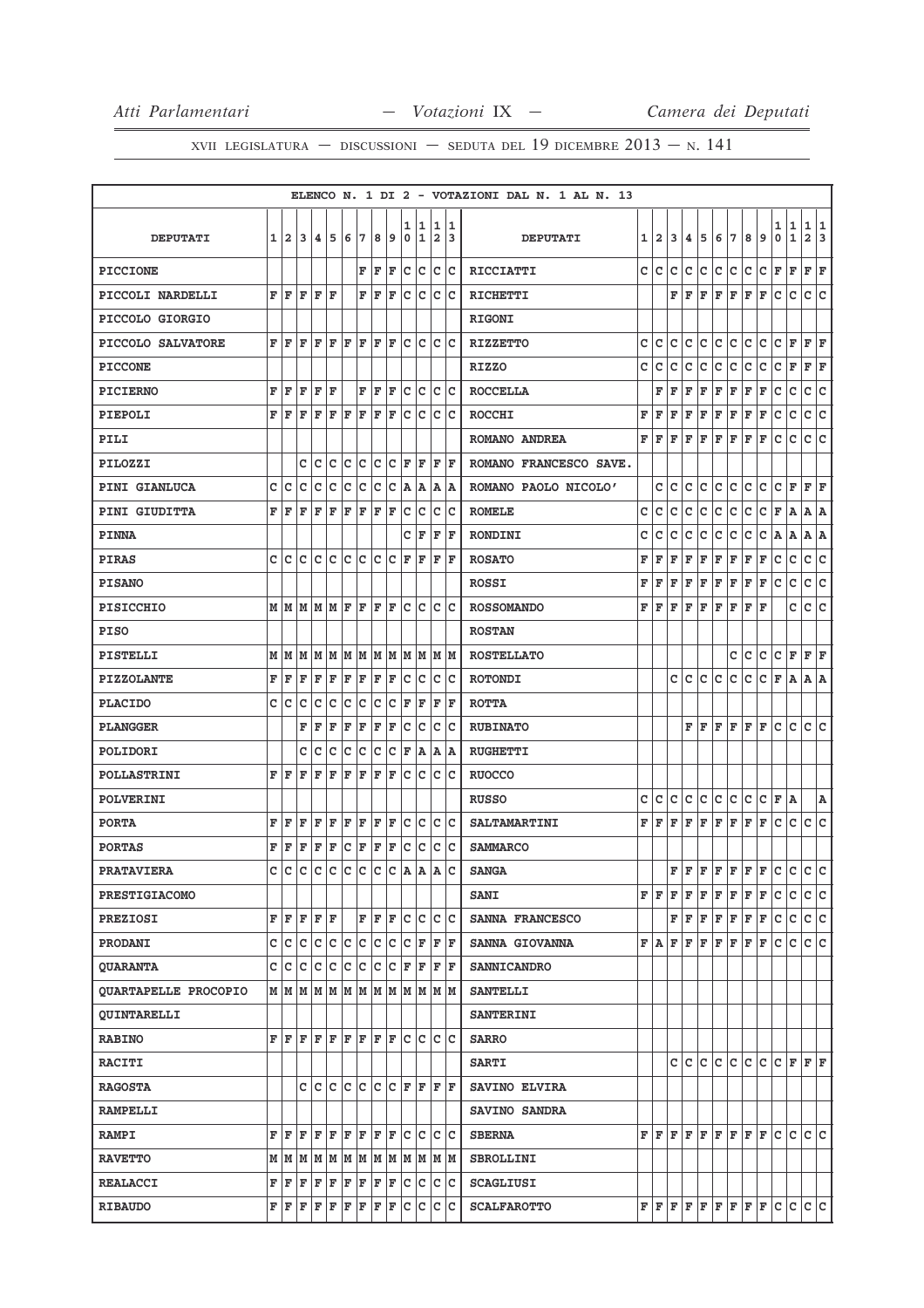|                             |              |                |     |      |                               |     |     |     |     |        |                                                                                                                                       |     |           | ELENCO N. 1 DI 2 - VOTAZIONI DAL N. 1 AL N. 13 |   |                |     |     |                                                                                                                             |     |             |         |     |                                                                                                                                                                                                                                            |             |                   |        |
|-----------------------------|--------------|----------------|-----|------|-------------------------------|-----|-----|-----|-----|--------|---------------------------------------------------------------------------------------------------------------------------------------|-----|-----------|------------------------------------------------|---|----------------|-----|-----|-----------------------------------------------------------------------------------------------------------------------------|-----|-------------|---------|-----|--------------------------------------------------------------------------------------------------------------------------------------------------------------------------------------------------------------------------------------------|-------------|-------------------|--------|
| <b>DEPUTATI</b>             | $\mathbf{1}$ | $\overline{a}$ | 3   | 4    | 5                             | 6   | 17  | 8   | 9   | 1<br>0 | 11<br>1                                                                                                                               | 2   | 1 1<br>13 | <b>DEPUTATI</b>                                | 1 | $\overline{a}$ | 3   | 4   | 5                                                                                                                           | 6   | 7           | 8       | 9   | 1<br>0                                                                                                                                                                                                                                     | 1<br>1      | 1<br>$\mathbf{2}$ | 1<br>3 |
| <b>PICCIONE</b>             |              |                |     |      |                               |     | F   | F   | F   | c      | c                                                                                                                                     | c   | ∣c        | RICCIATTI                                      | c | с              | c   | с   | c                                                                                                                           | lc. | c           | c       | c   | F                                                                                                                                                                                                                                          | F           | F                 | F      |
| PICCOLI NARDELLI            | F            | l F            | F   | F    | ΙF                            |     | F   | F   | ΙF  | c      | c                                                                                                                                     | c   | Ιc        | <b>RICHETTI</b>                                |   |                | F   | ΙF  | F                                                                                                                           | ΙF  | F           | F       | ΙF  | c                                                                                                                                                                                                                                          | с           | c                 | c      |
| PICCOLO GIORGIO             |              |                |     |      |                               |     |     |     |     |        |                                                                                                                                       |     |           | <b>RIGONI</b>                                  |   |                |     |     |                                                                                                                             |     |             |         |     |                                                                                                                                                                                                                                            |             |                   |        |
| PICCOLO SALVATORE           |              | FF             | ΙF  | l F  | ΙF                            | lF. | ΙF  | lF. | ΙF  |        | lc Ic                                                                                                                                 | lc. | Ιc        | <b>RIZZETTO</b>                                | с | с              | c   | с   | Iс                                                                                                                          | lc. | lc.         | lc.     | lc. | с                                                                                                                                                                                                                                          | F           | F F               |        |
| <b>PICCONE</b>              |              |                |     |      |                               |     |     |     |     |        |                                                                                                                                       |     |           | <b>RIZZO</b>                                   | c | с              | c   | с   | с                                                                                                                           | с   | C           | c       | c   | c                                                                                                                                                                                                                                          | F           | F                 | F      |
| <b>PICIERNO</b>             |              | FF             | ΙF  | F    | ١F                            |     | F   | F   | lF. |        | c c                                                                                                                                   |     | c c       | <b>ROCCELLA</b>                                |   | F              | ΙF  | F   | F                                                                                                                           | F   | F           | F       | F   | с                                                                                                                                                                                                                                          | c           | c                 | c      |
| PIEPOLI                     |              | FF             | F   | F    | F                             | F   | F   | F   | F   | c      | c                                                                                                                                     | Iс  | lc        | <b>ROCCHI</b>                                  | F | F              | F   | F   | F                                                                                                                           | F   | F           | F       | F   | с                                                                                                                                                                                                                                          | с           | с                 | c      |
| PILI                        |              |                |     |      |                               |     |     |     |     |        |                                                                                                                                       |     |           | ROMANO ANDREA                                  | F | l F            | F   | F   | F                                                                                                                           | l F | F           | F       | F   | с                                                                                                                                                                                                                                          | с           | c                 | c      |
| PILOZZI                     |              |                | C   | c    | c                             | Ιc  | lc  | c   | Iс  | ΙF     | ΙF                                                                                                                                    | F   | ΙF        | ROMANO FRANCESCO SAVE.                         |   |                |     |     |                                                                                                                             |     |             |         |     |                                                                                                                                                                                                                                            |             |                   |        |
| <b>PINI GIANLUCA</b>        | c            | c              | c   | c    | c                             | Iс  | Ιc  | c   | Iс  | A      | ١A                                                                                                                                    | ΙA  | ΙA        | ROMANO PAOLO NICOLO'                           |   | c              | c   | с   | с                                                                                                                           | c   | c           | с       | с   | с                                                                                                                                                                                                                                          | F           | F                 | F      |
| PINI GIUDITTA               | F            | ΙF             | F   | ΙF   | F                             | F   | F   | F   | F   | Iс     | Iс                                                                                                                                    | Ιc  | Iс        | <b>ROMELE</b>                                  | с | с              | c   | c   | c                                                                                                                           | c   | Iс          | с       | c   | F                                                                                                                                                                                                                                          | Α           | A A               |        |
| <b>PINNA</b>                |              |                |     |      |                               |     |     |     |     | с      | F                                                                                                                                     | F   | F         | <b>RONDINI</b>                                 | с | c              | с   | c   | с                                                                                                                           | с   | с           | с       | с   | Α                                                                                                                                                                                                                                          | Α           | Α                 | A      |
| <b>PIRAS</b>                |              | c Ic           | lc. |      | c c c c                       |     |     | c c |     | F      | F                                                                                                                                     | F   | ΙF        | <b>ROSATO</b>                                  | F | F              | F   | F   | F                                                                                                                           | F   | F           | F       | F   | с                                                                                                                                                                                                                                          | с           | c                 | c      |
| <b>PISANO</b>               |              |                |     |      |                               |     |     |     |     |        |                                                                                                                                       |     |           | <b>ROSSI</b>                                   | F | F              | F   | F   | F                                                                                                                           | F   | F           | F       | F   | с                                                                                                                                                                                                                                          | с           | с                 | с      |
| <b>PISICCHIO</b>            |              |                |     |      | MMMMMF                        |     | ΙF  | F   | F   | lc.    | Iс                                                                                                                                    | lc. | lc        | <b>ROSSOMANDO</b>                              | F | l F            | F   | ΙF  | F                                                                                                                           | ΙF  | F           | F       | ΙF  |                                                                                                                                                                                                                                            | c           | c                 | c      |
| <b>PISO</b>                 |              |                |     |      |                               |     |     |     |     |        |                                                                                                                                       |     |           | <b>ROSTAN</b>                                  |   |                |     |     |                                                                                                                             |     |             |         |     |                                                                                                                                                                                                                                            |             |                   |        |
| PISTELLI                    |              |                |     |      | M   M   M   M   M   M   M   M |     |     |     |     |        | M  M  M  M                                                                                                                            |     |           | <b>ROSTELLATO</b>                              |   |                |     |     |                                                                                                                             |     | с           | с       | c   | с                                                                                                                                                                                                                                          | F           | F                 | F      |
| <b>PIZZOLANTE</b>           | F            | F              | F   | F    | F                             | F   | F   | F   | F   | c      | c                                                                                                                                     | IC. | Iс        | <b>ROTONDI</b>                                 |   |                | c   | lc. | lc.                                                                                                                         | lc. | lc.         | с       | Iс  | F                                                                                                                                                                                                                                          | A           | A A               |        |
| <b>PLACIDO</b>              |              | c c            | C   | c    | c                             | Iс  | Ιc  | Iс  | Iс  | F      | F                                                                                                                                     | F   | F         | <b>ROTTA</b>                                   |   |                |     |     |                                                                                                                             |     |             |         |     |                                                                                                                                                                                                                                            |             |                   |        |
| <b>PLANGGER</b>             |              |                | F   | F    | F                             | F   | F   | F   | F   | Iс     | Iс                                                                                                                                    | Iс  | Ιc        | <b>RUBINATO</b>                                |   |                |     |     | FF                                                                                                                          | F F |             | $F$ $F$ |     | с                                                                                                                                                                                                                                          | c           | c c               |        |
| POLIDORI                    |              |                | с   | c    | C                             | c   | с   | с   | c   | F      | A                                                                                                                                     |     | A  A      | <b>RUGHETTI</b>                                |   |                |     |     |                                                                                                                             |     |             |         |     |                                                                                                                                                                                                                                            |             |                   |        |
| <b>POLLASTRINI</b>          | F            | ΙF             | ΙF  | F    | F                             | F   | F   | F   | F   | c      | Ιc                                                                                                                                    | Iс  | Ιc        | <b>RUOCCO</b>                                  |   |                |     |     |                                                                                                                             |     |             |         |     |                                                                                                                                                                                                                                            |             |                   |        |
| <b>POLVERINI</b>            |              |                |     |      |                               |     |     |     |     |        |                                                                                                                                       |     |           | <b>RUSSO</b>                                   | c | с              | c   | с   | Iс                                                                                                                          | с   | c           | с       | c   | F                                                                                                                                                                                                                                          | A           |                   | A      |
| <b>PORTA</b>                | F            | F              | F   | F    | F                             | F   | F   | F   | F   | c      | Iс                                                                                                                                    | с   | ΙC        | <b>SALTAMARTINI</b>                            | F | F              | F   | F   | F                                                                                                                           | F   | F           | F       | F   | с                                                                                                                                                                                                                                          | с           | c                 | c      |
| <b>PORTAS</b>               | F            | F              | F   | F    | F                             | c   | F   | F   | F   | c      | c                                                                                                                                     | IC. | Iс        | <b>SAMMARCO</b>                                |   |                |     |     |                                                                                                                             |     |             |         |     |                                                                                                                                                                                                                                            |             |                   |        |
| <b>PRATAVIERA</b>           |              | c lc           | lc. | Iс   | lc.                           | Iс  | lc. | Iс  | Iс  | ۱A     | ١A                                                                                                                                    | A   | Ιc        | <b>SANGA</b>                                   |   |                | F   | lF. | $F$ $F$                                                                                                                     |     | $F$ $F$ $F$ |         |     | lc.                                                                                                                                                                                                                                        | lc.         | lc.               | lc.    |
| <b>PRESTIGIACOMO</b>        |              |                |     |      |                               |     |     |     |     |        |                                                                                                                                       |     |           | <b>SANI</b>                                    |   | FF             | lF. | F   | F                                                                                                                           | F F |             | F F     |     | с                                                                                                                                                                                                                                          | c           | c c               |        |
| <b>PREZIOSI</b>             |              | FF             | lF. | F  F |                               |     | F   | F F |     | lc.    | Iс                                                                                                                                    |     | c c       | SANNA FRANCESCO                                |   |                |     |     | $\mathbf{F} \left  \mathbf{F} \right  \mathbf{F} \left  \mathbf{F} \right  \mathbf{F} \left  \mathbf{F} \right  \mathbf{F}$ |     |             |         |     | c                                                                                                                                                                                                                                          | c           | C C               |        |
| PRODANI                     |              |                |     |      |                               |     |     |     |     |        | $C C C C C C C C C C F$                                                                                                               |     | F  F      | SANNA GIOVANNA                                 |   |                |     |     | $\mathbf{F}  \mathbf{A} \mathbf{F} \mathbf{F} \mathbf{F} \mathbf{F} \mathbf{F} \mathbf{F} \mathbf{F}$                       |     |             |         |     | lc.                                                                                                                                                                                                                                        | $\mathbf c$ | c c               |        |
| <b>QUARANTA</b>             |              |                |     |      |                               |     |     |     |     |        | C C C C C C C C C F F F F F                                                                                                           |     |           | <b>SANNICANDRO</b>                             |   |                |     |     |                                                                                                                             |     |             |         |     |                                                                                                                                                                                                                                            |             |                   |        |
| <b>QUARTAPELLE PROCOPIO</b> |              |                |     |      |                               |     |     |     |     |        |                                                                                                                                       |     |           | <b>SANTELLI</b>                                |   |                |     |     |                                                                                                                             |     |             |         |     |                                                                                                                                                                                                                                            |             |                   |        |
| <b>QUINTARELLI</b>          |              |                |     |      |                               |     |     |     |     |        |                                                                                                                                       |     |           | <b>SANTERINI</b>                               |   |                |     |     |                                                                                                                             |     |             |         |     |                                                                                                                                                                                                                                            |             |                   |        |
| <b>RABINO</b>               |              |                |     |      |                               |     |     |     |     |        | ${\bf F}$ ${\bf F}$ ${\bf F}$ ${\bf F}$ ${\bf F}$ ${\bf F}$ ${\bf F}$ ${\bf F}$ ${\bf F}$ ${\bf C}$ ${\bf C}$ ${\bf C}$ ${\bf C}$     |     |           | <b>SARRO</b>                                   |   |                |     |     |                                                                                                                             |     |             |         |     |                                                                                                                                                                                                                                            |             |                   |        |
| <b>RACITI</b>               |              |                |     |      |                               |     |     |     |     |        |                                                                                                                                       |     |           | <b>SARTI</b>                                   |   |                |     |     |                                                                                                                             |     |             |         |     | $C C C C C C C C F F F F$                                                                                                                                                                                                                  |             |                   |        |
| <b>RAGOSTA</b>              |              |                | c   |      |                               |     |     |     |     |        | c  c  c  c  c  c  F  F                                                                                                                |     | F  F      | SAVINO ELVIRA                                  |   |                |     |     |                                                                                                                             |     |             |         |     |                                                                                                                                                                                                                                            |             |                   |        |
| <b>RAMPELLI</b>             |              |                |     |      |                               |     |     |     |     |        |                                                                                                                                       |     |           | SAVINO SANDRA                                  |   |                |     |     |                                                                                                                             |     |             |         |     |                                                                                                                                                                                                                                            |             |                   |        |
| <b>RAMPI</b>                |              | FF             |     |      |                               |     |     |     |     |        | $\mathbf{F} \mathbf{F} \mathbf{F} \mathbf{F} \mathbf{F} \mathbf{F} \mathbf{F} \mathbf{F} \mathbf{C} \mathbf{C} \mathbf{C} \mathbf{C}$ |     |           | <b>SBERNA</b>                                  |   |                |     |     |                                                                                                                             |     |             |         |     | $\mathbf{F} \left  \mathbf{F} \right  \mathbf{F} \left  \mathbf{F} \right  \mathbf{F} \left  \mathbf{F} \right  \mathbf{F} \left  \mathbf{F} \right  \mathbf{C} \left  \mathbf{C} \right.$                                                 |             | lc lc             |        |
| <b>RAVETTO</b>              |              |                |     |      |                               |     |     |     |     |        | $M$   $M$   $M$   $M$   $M$   $M$   $M$   $M$   $M$   $M$   $M$   $M$                                                                 |     |           | <b>SBROLLINI</b>                               |   |                |     |     |                                                                                                                             |     |             |         |     |                                                                                                                                                                                                                                            |             |                   |        |
| <b>REALACCI</b>             |              | FF             |     |      |                               |     |     |     |     |        | $\mathbf{F} \mathbf{F} \mathbf{F} \mathbf{F} \mathbf{F} \mathbf{F} \mathbf{F} \mathbf{F} \mathbf{C} \mathbf{C} \mathbf{C}$            |     |           | <b>SCAGLIUSI</b>                               |   |                |     |     |                                                                                                                             |     |             |         |     |                                                                                                                                                                                                                                            |             |                   |        |
| <b>RIBAUDO</b>              |              | FF             |     |      | F F F F F F F                 |     |     |     |     |        | c c                                                                                                                                   |     | c c       | <b>SCALFAROTTO</b>                             |   |                |     |     |                                                                                                                             |     |             |         |     | $\mathbf{F} \left  \mathbf{F} \right  \mathbf{F} \left  \mathbf{F} \right  \mathbf{F} \left  \mathbf{F} \right  \mathbf{F} \left  \mathbf{F} \right  \mathbf{C} \left  \mathbf{C} \right  \mathbf{C} \left  \mathbf{C} \right  \mathbf{C}$ |             |                   |        |